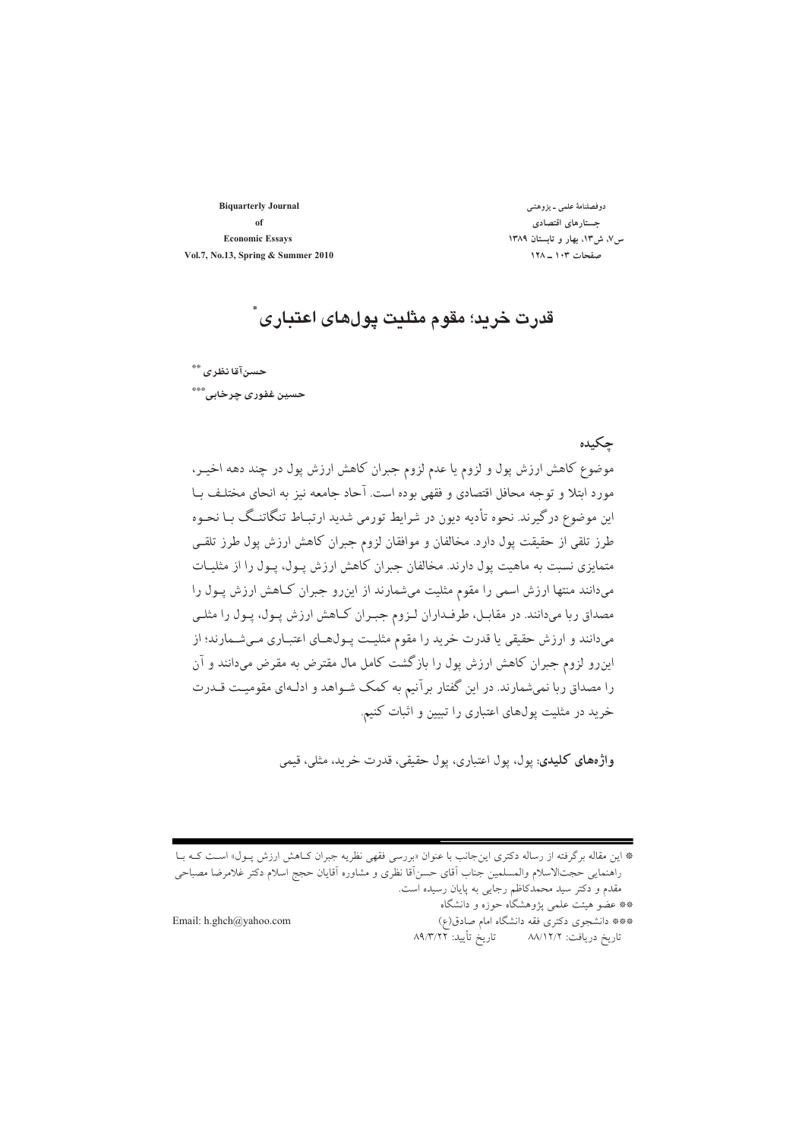**Biquarterly Journal** of **Economic Essays** Vol.7, No.13, Spring & Summer 2010

دوفصلنامهٔ علمی ـ پژوهشی جستارهاي اقتصادي س/، ش١٣، بهار و تابستان ١٣٨٩ صفحات ۱۰۳ ـ ۱۲۸

## قدرت خريد؛ مقوم مثليت يولهاي اعتباري ً

حسنآقا نظرى \*\*

حسين غفور*ی چ*رخابي،"\*\*\*

#### حكىدە

موضوع کاهش ارزش پول و لزوم یا عدم لزوم جبران کاهش ارزش پول در چند دهه اخیـر، مورد ابتلا و توجه محافل اقتصادي و فقهي بوده است. آحاد جامعه نيز به انحاي مختلـف بــا این موضوع درگیرند. نحوه تأدیه دیون در شرایط تورمی شدید ارتبـاط تنگاتنـگ بـا نحـوه طرز تلقی از حقیقت پول دارد. مخالفان و موافقان لزوم جبران کاهش ارزش پول طرز تلقـی متمایزی نسبت به ماهیت پول دارند. مخالفان جبران کاهش ارزش پـول، پـول را از مثلیـات میدانند منتها ارزش اسمی را مقوم مثلیت میشمارند از اینرو جبران کـاهش ارزش پـول را مصداق ربا میدانند. در مقابـل، طرفـداران لـزوم جبـران كـاهش ارزش پـول، پـول را مثلـي میدانند و ارزش حقیقی یا قدرت خرید را مقوم مثلیت پـول\هـای اعتبـاری مـیشـمارند؛ از این٫و لزوم جبران کاهش ارزش پول را بازگشت کامل مال مقترض به مقرض میدانند و آن را مصداق ربا نمیشمارند. در این گفتار برآنیم به کمک شـواهد و ادلـهای مقومیـت قــدرت خرید در مثلیت پولهای اعتباری را تبیین و اثبات کنیم.

واژههای کلیدی: یول، یول اعتباری، یول حقیقی، قدرت خرید، مثلی، قیمی

\* این مقاله برگرفته از رساله دکتری اینجانب با عنوان «بررسی فقهی نظریه جبران کـاهش ارزش پــول» اســت کــه بــا راهنمايي حجت\لاسلام والمسلمين جناب اَقاي حسن|قا نظري و مشاوره اَقايان حجج اسلام دكتر غلامرضا مصباحي مقدم و دکتر سید محمدکاظم رجایی به پایان رسیده است.

\*\* عضو هیئت علمی پژوهشگاه حوزه و دانشگاه

Email: h.ghch@yahoo.com

\*\*\* دانشجوی دکتری فقه دانشگاه امام صادق(ع) تاريخ دريافت: ٨٨/١٢/٢ تاريخ تأييد: ٨٩/٣/٢٢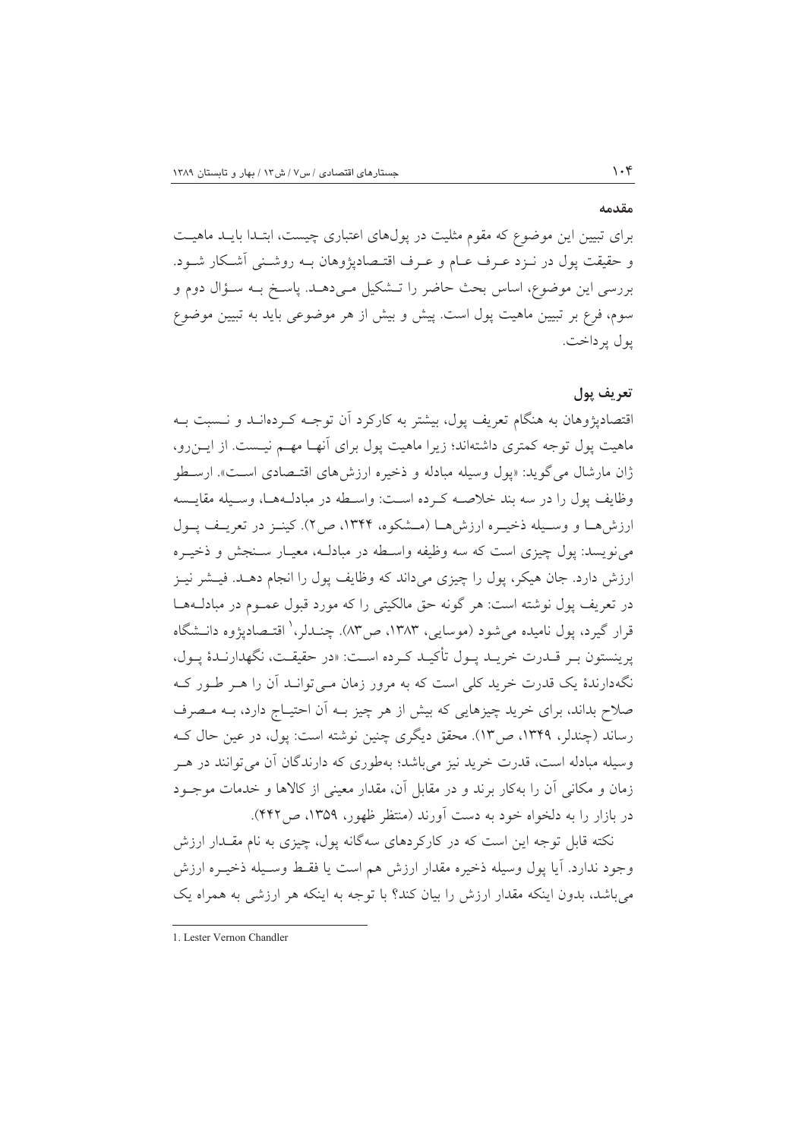#### مقدمه

برای تبیین این موضوع که مقوم مثلیت در یولهای اعتباری چیست، ابتـدا بایـد ماهیـت و حقیقت پول در نــزد عــرف عــام و عــرف اقتــصادپژوهان بــه روشــنی اَشــکار شــود. بررسي اين موضوع، اساس بحث حاضر را تــشكيل مـي،دهــد. ياسـخ بــه ســؤال دوم و سوم، فرع بر تبیین ماهیت پول است. پیش و بیش از هر موضوعی باید به تبیین موضوع پول پرداخت.

#### تعريف يول

اقتصادیژوهان به هنگام تعریف یول، بیشتر به کارکرد آن توجـه کـردهانــد و نــسبت بــه ماهیت پول توجه کمتری داشتهاند؛ زیرا ماهیت پول برای آنهـا مهـم نیـست. از ایـنرو، ژان مارشال مي گويد: «يول وسيله مبادله و ذخيره ارزش هاي اقتـصادي اسـت». ارسـطو وظايف يول را در سه بند خلاصـه كـرده اسـت: واسـطه در مبادلـههـا، وسـيله مقايـسه ارزش هــا و وســيله ذخيــره ارزش هــا (مــشكوه، ١٣۴۴، ص٢). كينــز در تعريــف يــول مي نويسد: يول چيزي است كه سه وظيفه واسـطه در مبادلـه، معيـار سـنجش و ذخيـره ارزش دارد. جان هیکر، پول را چیزی میداند که وظایف پول را انجام دهـد. فیـشر نیـز در تعریف پول نوشته است: هر گونه حق مالکیتی را که مورد قبول عمـوم در مبادلــههــا قرار گيرد، يول ناميده مي شود (موسايي، ١٣٨٣، ص٣٨٣. چنـدلر، ' اقتـصاديژوه دانــشگاه يرينستون بـر قــدرت خريــد يــول تأكيــد كــرده اســت: «در حقيقــت، نگهدارنــدهٔ يــول، نگهدارندهٔ یک قدرت خرید کلی است که به مرور زمان مـی توانـد آن را هـر طـور کـه صلاح بداند، برای خرید چیزهایی که بیش از هر چیز بـه اَن احتیـاج دارد، بـه مـصرف رساند (چندلر، ۱۳۴۹، ص۱۳). محقق دیگری چنین نوشته است: پول، در عین حال ک وسیله مبادله است، قدرت خرید نیز می باشد؛ بهطوری که دارندگان آن می توانند در هـر زمان و مکانی آن را بهکار برند و در مقابل آن، مقدار معینی از کالاها و خدمات موجــود در بازار را به دلخواه خود به دست آورند (منتظر ظهور، ۱۳۵۹، ص۴۴۲).

نکته قابل توجه این است که در کارکردهای سهگانه پول، چیزی به نام مقـدار ارزش وجود ندارد. آيا يول وسيله ذخيره مقدار ارزش هم است يا فقبط وسـيله ذخيـره ارزش می باشد، بدون اینکه مقدار ارزش را بیان کند؟ با توجه به اینکه هر ارزشی به همراه یک

<sup>1.</sup> Lester Vernon Chandler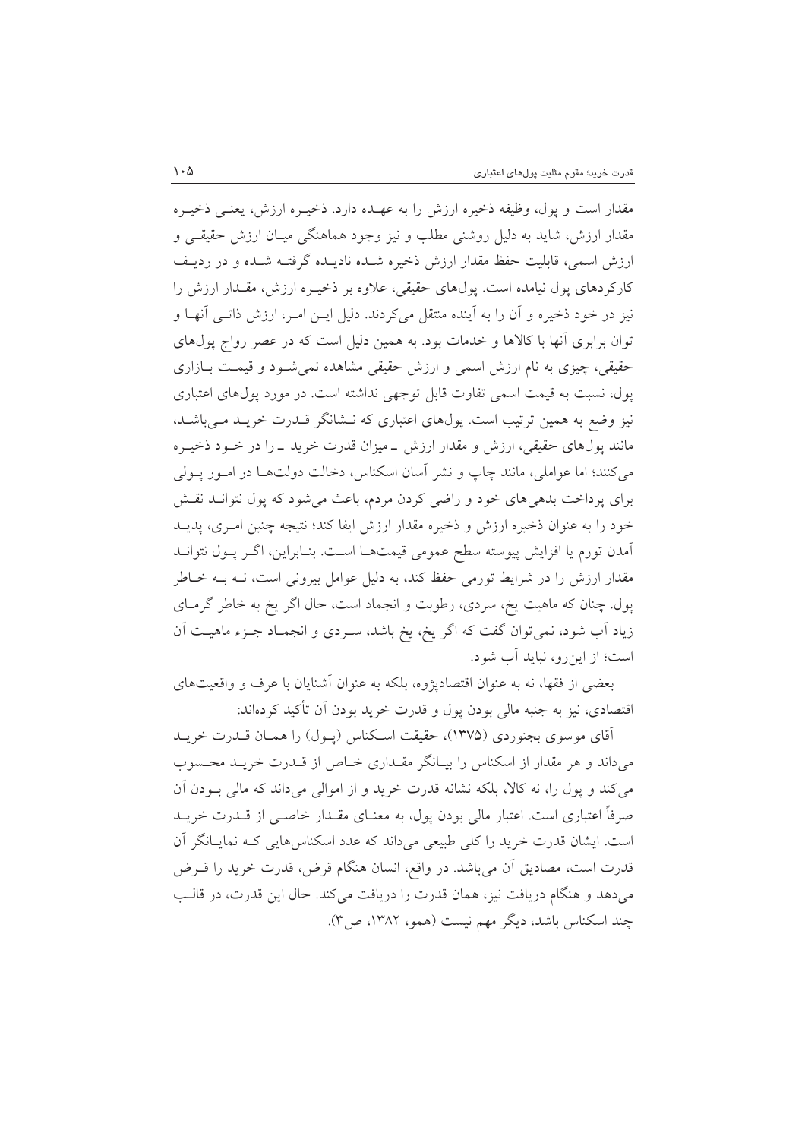مقدار است و يول، وظيفه ذخيره ارزش را به عهـده دارد. ذخيــره ارزش، يعنــي ذخيــره مقدار ارزش، شاید به دلیل روشنی مطلب و نیز وجود هماهنگی میـان ارزش حقیقـی و ارزش اسمی، قابلیت حفظ مقدار ارزش ذخیره شـده نادیـده گرفتـه شـده و در ردیـف کارکردهای یول نیامده است. یول\$ای حقیقی، علاوه بر ذخیـره ارزش، مقـدار ارزش را نیز در خود ذخیره و اَن را به اَینده منتقل میکردند. دلیل ایــن امــر، ارزش ذاتــی اَنهــا و توان برابری آنها با کالاها و خدمات بود. به همین دلیل است که در عصر رواج پولهای حقیقی، چیزی به نام ارزش اسمی و ارزش حقیقی مشاهده نمی شـود و قیمـت بـازاری یول، نسبت به قیمت اسمی تفاوت قابل توجهی نداشته است. در مورد پولهای اعتباری نیز وضع به همین ترتیب است. یولهای اعتباری که نـشانگر قــدرت خریــد مــیباشــد، مانند پولهای حقیقی، ارزش و مقدار ارزش ــ میزان قدرت خرید ــ را در خــود ذخیــره مي كنند؛ اما عواملي، مانند چاپ و نشر آسان اسكناس، دخالت دولتهـا در امـور يـولي برای پرداخت بدهیهای خود و راضی کردن مردم، باعث میشود که پول نتوانــد نقــش خود را به عنوان ذخیره ارزش و ذخیره مقدار ارزش ایفا کند؛ نتیجه چنین امـری، پدیــد أمدن تورم يا افزايش پيوسته سطح عمومي قيمتهـا اسـت. بنـابراين، اگـر پـول نتوانـد مقدار ارزش را در شرایط تورمی حفظ کند، به دلیل عوامل بیرونی است، نـه بـه خـاطر پول. چنان که ماهیت یخ، سردی، رطوبت و انجماد است، حال اگر یخ به خاطر گرمـای زیاد آب شود، نمیتوان گفت که اگر یخ، یخ باشد، سـردی و انجمـاد جـزء ماهیـت آن است؛ از این رو، نباید آب شود.

بعضی از فقها، نه به عنوان اقتصادیژوه، بلکه به عنوان أشنایان با عرف و واقعیتهای اقتصادی، نیز به جنبه مالی بودن پول و قدرت خرید بودن آن تأکید کردهاند:

آقای موسوی بجنوردی (۱۳۷۵)، حقیقت اسکناس (پـول) را همـان قــدرت خریــد می داند و هر مقدار از اسکناس را بیـانگر مقــداری خــاص از قــدرت خریــد محــسوب می کند و پول را، نه کالا، بلکه نشانه قدرت خرید و از اموالی میداند که مالی بــودن اَن صرفاً اعتباری است. اعتبار مالی بودن پول، به معنــای مقــدار خاصــی از قــدرت خریــد است. ایشان قدرت خرید را کلی طبیعی میداند که عدد اسکناس هایی کـه نمایـانگر آن قدرت است، مصاديق أن مي باشد. در واقع، انسان هنگام قرض، قدرت خريد را قــرض می دهد و هنگام دریافت نیز، همان قدرت را دریافت می کند. حال این قدرت، در قالب چند اسکناس باشد، دیگر مهم نیست (همو، ۱۳۸۲، ص۳).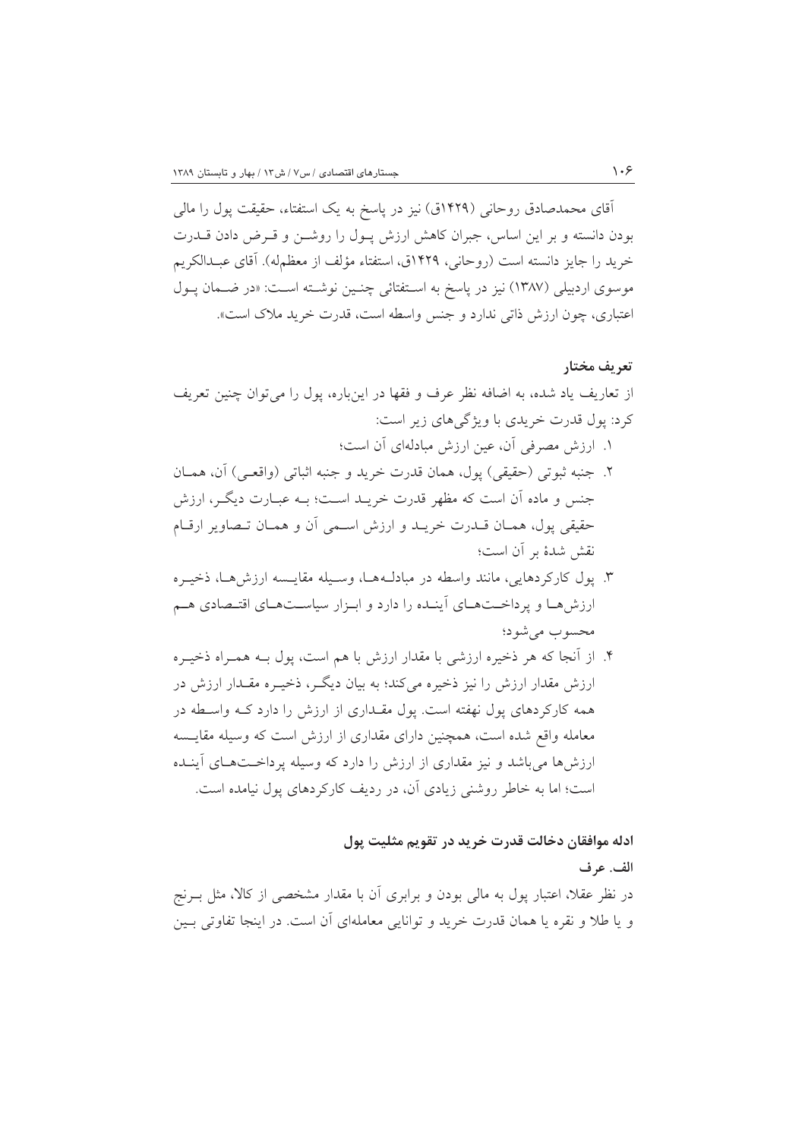آقای محمدصادق روحانی (۱۴۲۹ق) نیز در پاسخ به یک استفتاء، حقیقت پول را مالی بودن دانسته و بر این اساس، جبران کاهش ارزش پـول را روشــن و قــرض دادن قــدرت خريد را جايز دانسته است (روحاني، ١۴٢٩ق، استفتاء مؤلف از معظمِله). آقاي عبـدالكريم موسوى اردبيلي (١٣٨٧) نيز در ياسخ به اسـتفتائي چنـين نوشـته اسـت: «در ضـمان يـول اعتباري، چون ارزش ذاتي ندارد و جنس واسطه است، قدرت خريد ملاک است».

#### تعريف مختار

از تعاریف یاد شده، به اضافه نظر عرف و فقها در اینباره، پول را می توان چنین تعریف کرد: یول قدرت خریدی با ویژگیهای زیر است:

- ١. ارزش مصرفي آن، عين ارزش مبادلهاي آن است؛
- ٢. جنبه ثبوتي (حقيقي) يول، همان قدرت خريد و جنبه اثباتي (واقعـي) آن، همــان جنس و ماده آن است که مظهر قدرت خریــد اســت؛ بــه عبــارت دیگــر، ارزش حقيقي يول، همـان قــدرت خريــد و ارزش اســمي أن و همـان تــصاوير ارقــام نقش شدهٔ بر آن است؛
- ۳. پول کارکردهایی، مانند واسطه در مبادلـههـا، وسـیله مقایـسه ارزش۵حـا، ذخیـره ارزش هـا و پرداخـتهـای آینـده را دارد و ابـزار سیاسـتهـای اقتـصادی هـم محسوب مي شود؛
- ۴. از اّنجا که هر ذخیره ارزشی با مقدار ارزش با هم است، یول بــه همــراه ذخیــره ارزش مقدار ارزش را نیز ذخیره می کند؛ به بیان دیگر، ذخیـره مقـدار ارزش در همه کارکردهای یول نهفته است. یول مقـداری از ارزش را دارد کـه واسـطه در معامله واقع شده است، همچنین دارای مقداری از ارزش است که وسیله مقایسه ارزشها میباشد و نیز مقداری از ارزش را دارد که وسیله پرداختهای آینده است؛ اما به خاطر روشنی زیادی آن، در ردیف کارکردهای پول نیامده است.

ادله موافقان دخالت قدرت خريد در تقويم مثليت يول

#### الف. عرف

در نظر عقلاً، اعتبار یول به مالی بودن و برابری اَن با مقدار مشخصی از کالاً، مثل بـرنج و یا طلا و نقره یا همان قدرت خرید و توانایی معاملهای اَن است. در اینجا تفاوتی بـین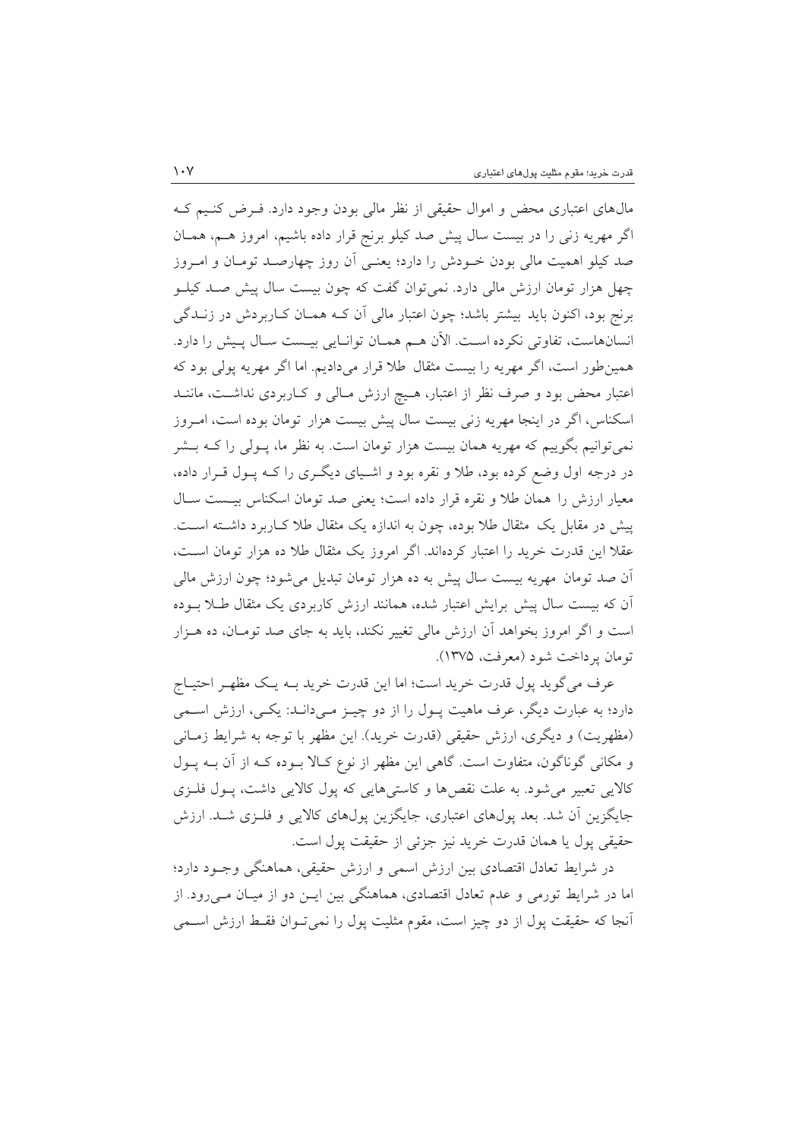مال های اعتباری محض و اموال حقیقی از نظر مالی بودن وجود دارد. فـرض کنـیم کـه اگر مهریه زنبی را در بیست سال پیش صد کیلو برنج قرار داده باشیم، امروز هـم، همـان صد کیلو اهمیت مالی بودن خـودش را دارد؛ یعنـی آن روز چهارصـد تومـان و امـروز چهل هزار تومان ارزش مالی دارد. نمی توان گفت که چون بیست سال پیش صـد کیلــو برنج بود، اکنون باید بیشتر باشد؛ چون اعتبار مالی آن کـه همـان کـاربردش در زنــدگی انسانهاست، تفاوتي نكرده است. الآن هـم همـان توانـايي بيـست سـال پـيش را دارد. همین طور است، اگر مهریه را بیست مثقال طلا قرار میدادیم. اما اگر مهریه پولی بود که اعتبار محض بود و صرف نظر از اعتبار، هـيچ ارزش مـالي و كـاربردي نداشـت، ماننــد اسکناس، اگر در اینجا مهریه زنبی بیست سال پیش بیست هزار تومان بوده است، امـروز نمی توانیم بگوییم که مهریه همان بیست هزار تومان است. به نظر ما، پـولی را کــه بــشر در درجه اول وضع کرده بود، طلا و نقره بود و اشـیای دیگـری را کـه پـول قـرار داده، معیار ارزش را همان طلا و نقره قرار داده است؛ یعنی صد تومان اسکناس بیست سال پیش در مقابل یک مثقال طلا بوده، چون به اندازه یک مثقال طلا کـاربرد داشـته اسـت. عقلاً این قدرت خرید را اعتبار کردهاند. اگر امروز یک مثقال طلا ده هزار تومان است، اّن صد تومان مهریه بیست سال پیش به ده هزار تومان تبدیل میشود؛ چون ارزش مالی اّن که بیست سال پیش برایش اعتبار شده، همانند ارزش کاربردی یک مثقال طـلا بــوده است و اگر امروز بخواهد آن ارزش مالی تغییر نکند، باید به جای صد تومـان، ده هـزار تومان پر داخت شود (معرفت، ۱۳۷۵).

عرف مي گويد پول قدرت خريد است؛ اما اين قدرت خريد بـه يـک مظهـر احتيــاج دارد؛ به عبارت دیگر، عرف ماهیت پـول را از دو چیـز مـیدانـد: یکـی، ارزش اسـمی (مظهريت) و ديگري، ارزش حقيقي (قدرت خريد). اين مظهر با توجه به شرايط زمـاني و مکانی گوناگون، متفاوت است. گاهی این مظهر از نوع کـالا بـوده کـه از آن بـه پـول کالایی تعبیر می شود. به علت نقصها و کاستی هایی که پول کالایی داشت، پول فلـزی جايگزين اَن شد. بعد يولهاي اعتباري، جايگزين يولهاي كالايي و فلـزي شـد. ارزش حقيقي يول يا همان قدرت خريد نيز جزئي از حقيقت يول است.

در شرایط تعادل اقتصادی بین ارزش اسمی و ارزش حقیقی، هماهنگی وجـود دارد؛ اما در شرایط تورمی و عدم تعادل اقتصادی، هماهنگی بین ایـن دو از میـان مـیرود. از أنجا كه حقيقت پول از دو چيز است، مقوم مثليت پول را نميتوان فقـط ارزش اســمي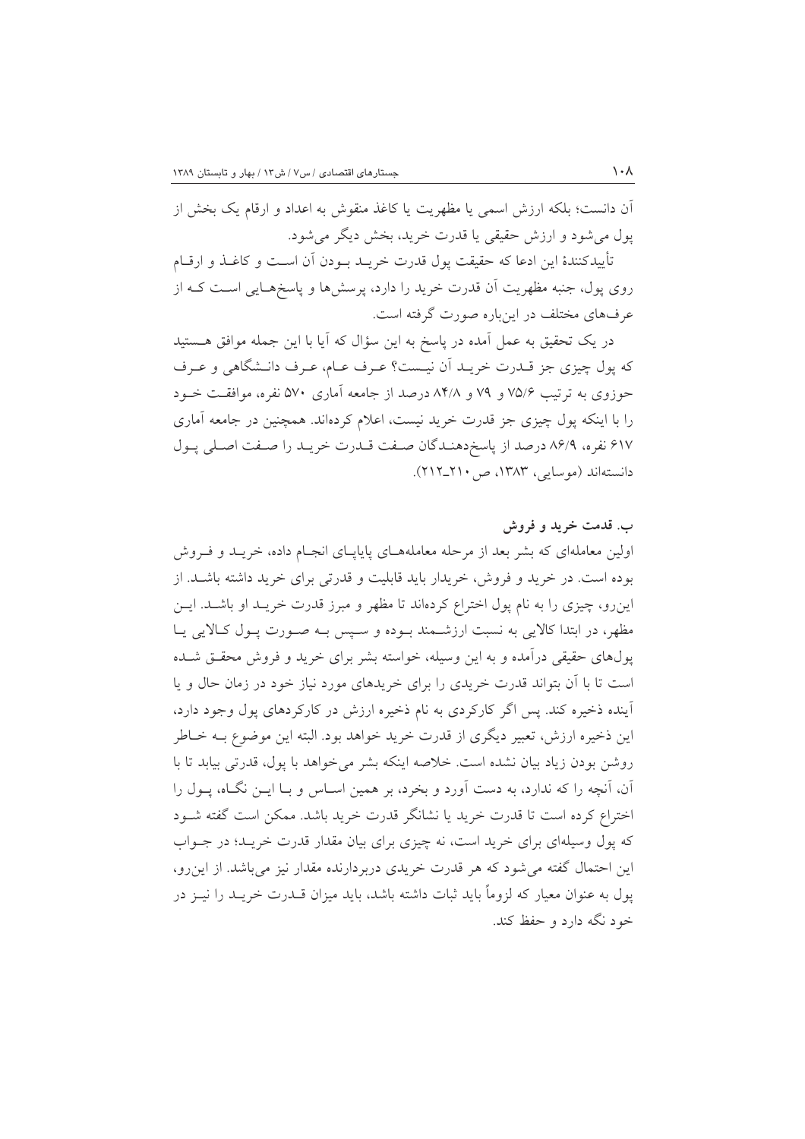آن دانست؛ بلکه ارزش اسمی یا مظهریت یا کاغذ منقوش به اعداد و ارقام یک بخش از يول مي شود و ارزش حقيقى يا قدرت خريد، بخش ديگر مي شود.

تأييدكنندهٔ اين ادعا كه حقيقت پول قدرت خريــد بــودن اَن اســت و كاغــذ و ارقــام روی پول، جنبه مظهریت اَن قدرت خرید را دارد، پرسشها و پاسخهـایی اسـت کــه از عرفهای مختلف در اینباره صورت گرفته است.

در یک تحقیق به عمل آمده در پاسخ به این سؤال که آیا با این جمله موافق هــستید كه يول چيزي جز قــدرت خريــد أن نيــست؟ عــرف عــام، عــرف دانــشگاهي و عــرف حوزوی به ترتیب ۷۵/۶ و ۷۹ و ۸۴/۸ درصد از جامعه آماری ۵۷۰ نفره، موافقت خــود را با اینکه پول چیزی جز قدرت خرید نیست، اعلام کردهاند. همچنین در جامعه آماری ۶۱۷ نفره، ۸۶/۹ درصد از پاسخدهنـدگان صـفت قـدرت خريـد را صـفت اصـلى پـول دانستهاند (موسایی، ۱۳۸۳، ص ۲۱۰\_۲۱۲).

### ب. قدمت خريد و فروش

اولین معاملهای که بشر بعد از مرحله معاملههـای پایاپـای انجـام داده، خریـد و فـروش بوده است. در خرید و فروش، خریدار باید قابلیت و قدرتی برای خرید داشته باشـد. از این رو، چیزی را به نام یول اختراع کردهاند تا مظهر و مبرز قدرت خریـد او باشـد. ایــن مظهر، در ابتدا كالايي به نسبت ارزشـمند بـوده و سـيس بـه صـورت يـول كـالايي يـا یولهای حقیقی درآمده و به این وسیله، خواسته بشر برای خرید و فروش محقــق شــده است تا با آن بتواند قدرت خریدی را برای خریدهای مورد نیاز خود در زمان حال و یا آینده ذخیره کند. پس اگر کارکردی به نام ذخیره ارزش در کارکردهای پول وجود دارد، اين ذخيره ارزش، تعبير ديگري از قدرت خريد خواهد بود. البته اين موضوع بــه خــاطر روشن بودن زياد بيان نشده است. خلاصه اينكه بشر مي خواهد با يول، قدرتي بيابد تا با آن، آنچه را که ندارد، به دست آورد و بخرد، بر همین اسـاس و بـا ایــن نگــاه، پــول را اختراع کرده است تا قدرت خرید یا نشانگر قدرت خرید باشد. ممکن است گفته شـود که پول وسیلهای برای خرید است، نه چیزی برای بیان مقدار قدرت خریـد؛ در جــواب این احتمال گفته می شود که هر قدرت خریدی دربردارنده مقدار نیز می باشد. از این رو، یول به عنوان معیار که لزوماً باید ثبات داشته باشد، باید میزان قــدرت خریــد را نیــز در خود نگه دارد و حفظ کند.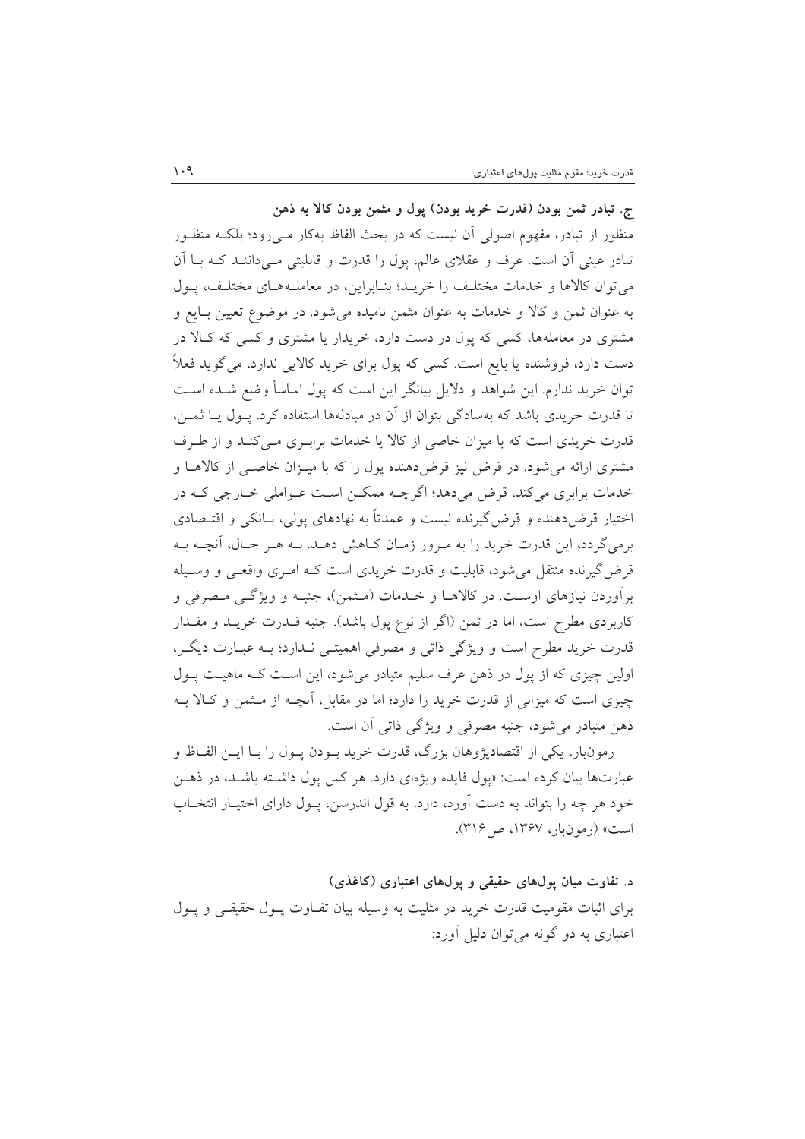ج. تبادر ثمن بودن (قدرت خريد بودن) پول و مثمن بودن كالا به ذهن منظور از تبادر، مفهوم اصولی آن نیست که در بحث الفاظ بهکار مـی(ود؛ بلکـه منظـور تبادر عینی آن است. عرف و عقلای عالم، پول را قدرت و قابلیتی مـیداننـد کـه بـا آن می توان کالاها و خدمات مختلف را خریـد؛ بنـابراین، در معاملـههـای مختلـف، پـول به عنوان ثمن و كالا و خدمات به عنوان مثمن ناميده مي شود. در موضوع تعيين بـايع و مشتری در معاملهها، کسی که یول در دست دارد، خریدار یا مشتری و کسی که کـالا در دست دارد، فروشنده یا بایع است. کسی که پول برای خرید کالایی ندارد، می گوید فعلاً توان خرید ندارم. این شواهد و دلایل بیانگر این است که پول اساساً وضع شــده اســت تا قدرت خریدی باشد که بهسادگی بتوان از آن در مبادلهها استفاده کرد. پـول پـا ثمـن، قدرت خریدی است که با میزان خاصی از کالا یا خدمات براب ی مبی کنید و از طرف مشتری ارائه میشود. در قرض نیز قرض دهنده پول را که با میـزان خاصـی از کالاهـا و خدمات برابری میکند، قرض میدهد؛ اگرچـه ممکـن اسـت عـواملی خـارجی کـه در اختیار قرض دهنده و قرض گیرنده نیست و عمدتاً به نهادهای پولی، بـانکی و اقتـصادی برمي گردد، اين قدرت خريد را به مرور زمـان كـاهش دهـد. بـه هـر حـال، آنچـه بـه قرض گیرنده منتقل می شود، قابلیت و قدرت خریدی است کـه امـری واقعـی و وسـیله برآوردن نیازهای اوست. در کالاهـا و خـدمات (مـثمن)، جنبـه و ویژگــی مـصرفی و کاربردی مطرح است، اما در ثمن (اگر از نوع پول باشد). جنبه قــدرت خریــد و مقــدار قدرت خرید مطرح است و ویژگی ذاتی و مصرفی اهمیتـی نـدارد؛ بـه عبـارت دیگـر، اولین چیزی که از پول در ذهن عرف سلیم متبادر می شود، این است کـه ماهیـت پـول چیزی است که میزانی از قدرت خرید را دارد؛ اما در مقابل، آنچـه از مـثمن و کـالا بـه ذهن متبادر می شود، جنبه مصرفی و ویژگی ذاتی آن است.

رمونبار، یکی از اقتصادیژوهان بزرگ، قدرت خرید بـودن پـول را بـا ایــن الفــاظ و عبارتها بیان کرده است: «یول فایده ویژهای دارد. هر کس یول داشته باشـد، در ذهـن خود هر چه را بتواند به دست آورد، دارد. به قول اندرسن، پــول داراي اختيــار انتخــاب است» (رمونبار، ۱۳۶۷، ص۴۱۶).

د. تفاوت میان پولهای حقیقی و پولهای اعتباری (کاغذی) برای اثبات مقومیت قدرت خرید در مثلیت به وسیله بیان تفـاوت پـول حقیقـی و پـول اعتباري به دو گونه مي توان دليل آورد: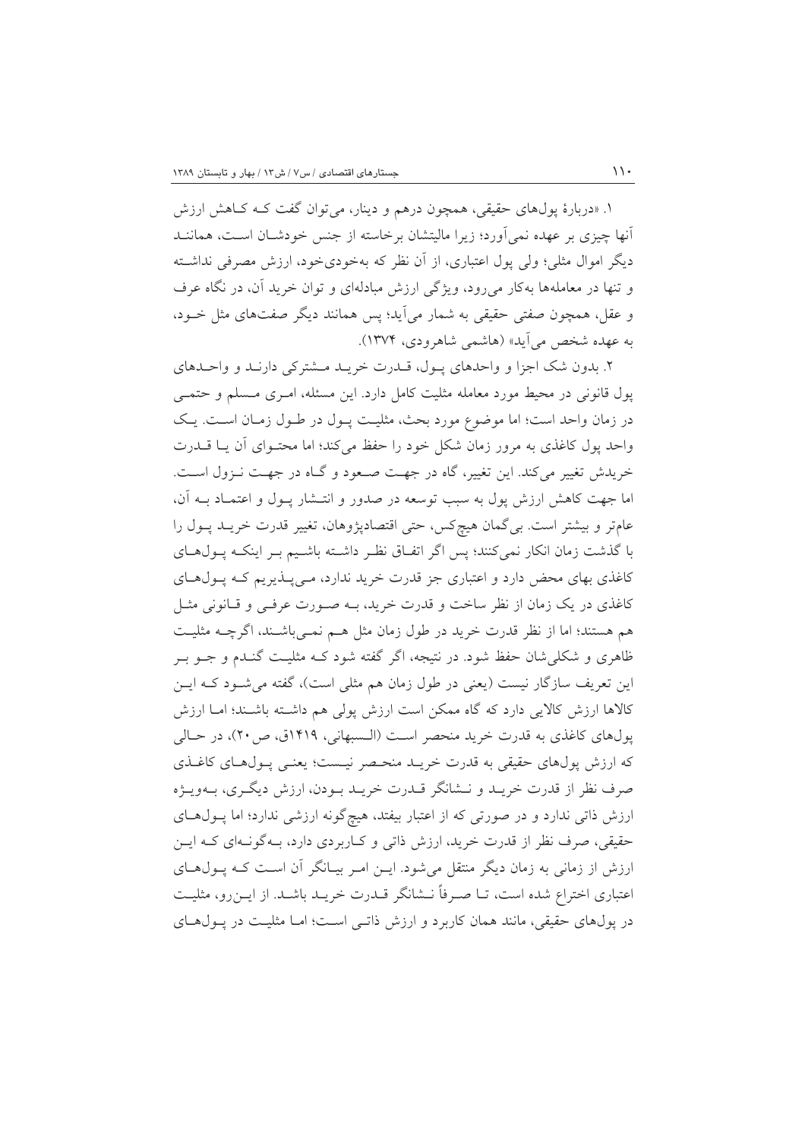۱. «دربارهٔ پولهای حقیقی، همچون درهم و دینار، میتوان گفت کـه کـاهش ارزش آنها چیزی بر عهده نمی آورد؛ زیرا مالیتشان برخاسته از جنس خودشـان اسـت، هماننــد دیگر اموال مثلی؛ ولی پول اعتباری، از آن نظر که بهخودیخود، ارزش مصرفی نداشته و تنها در معاملهها بهکار میرود، ویژگی ارزش مبادلهای و توان خرید آن، در نگاه عرف و عقل، همچون صفتی حقیقی به شمار میآید؛ پس همانند دیگر صفتهای مثل خـود، به عهده شخص مي آيد» (هاشمي شاهرودي، ١٣٧۴).

٢. بدون شک اجزا و واحدهای يـول، قـدرت خريـد مـشترکی دارنـد و واحـدهای یول قانونی در محیط مورد معامله مثلیت کامل دارد. این مسئله، امـری مـسلم و حتمـی در زمان واحد است؛ اما موضوع مورد بحث، مثلیت پــول در طــول زمــان اســت. یــک واحد یول کاغذی به مرور زمان شکل خود را حفظ می کند؛ اما محتـوای آن یـا قــدرت خریدش تغییر میکند. این تغییر، گاه در جهت صـعود و گـاه در جهـت نـزول اسـت. اما جهت کاهش ارزش پول به سبب توسعه در صدور و انتـشار پـول و اعتمـاد بـه آن، عامتر و بیشتر است. بی گمان هیچکس، حتی اقتصادپژوهان، تغییر قدرت خریـد پـول را با گذشت زمان انکار نمیکنند؛ پس اگر اتفاق نظر داشته باشیم بـر اینکـه پـولهـای کاغذی بهای محض دارد و اعتباری جز قدرت خرید ندارد، مـیپـذیریم کـه پـولهـای کاغذی در یک زمان از نظر ساخت و قدرت خرید، بـه صـورت عرفـی و قـانونی مثـل هم هستند؛ اما از نظر قدرت خرید در طول زمان مثل هـم نمـی،باشـند، اگرچــه مثلیـت ظاهری و شکلی شان حفظ شود. در نتیجه، اگر گفته شود کـه مثلیـت گنـدم و جــو بــر این تعریف سازگار نیست (یعنی در طول زمان هم مثلی است)، گفته می شـود کـه ایــن كالاها ارزش كالايي دارد كه گاه ممكن است ارزش يولي هم داشــته باشــند؛ امــا ارزش پولهای کاغذی به قدرت خرید منحصر است (الـسبهانی، ۱۴۱۹ق، ص ۲۰)، در حـالی که ارزش یولهای حقیقی به قدرت خریـد منحـصر نیـست؛ یعنـی پـول۱های کاغـذی صرف نظر از قدرت خريـد و نـشانگر قـدرت خريـد بـودن، ارزش ديگـرى، بـهويـژه ارزش ذاتی ندارد و در صورتی که از اعتبار بیفتد، هیچگونه ارزشی ندارد؛ اما پـولهـای حقیقی، صرف نظر از قدرت خرید، ارزش ذاتی و کـاربردی دارد، بـهگونـهای کـه ایـن ارزش از زمانی به زمان دیگر منتقل می شود. ایــن امــر بیــانگر آن اســت کــه پــول۱هــای اعتباری اختراع شده است، تــا صــرفاً نــشانگر قــدرت خريــد باشــد. از ايــن(و، مثليــت در پولهای حقیقی، مانند همان کاربرد و ارزش ذاتـی اسـت؛ امـا مثلیـت در پـولهـای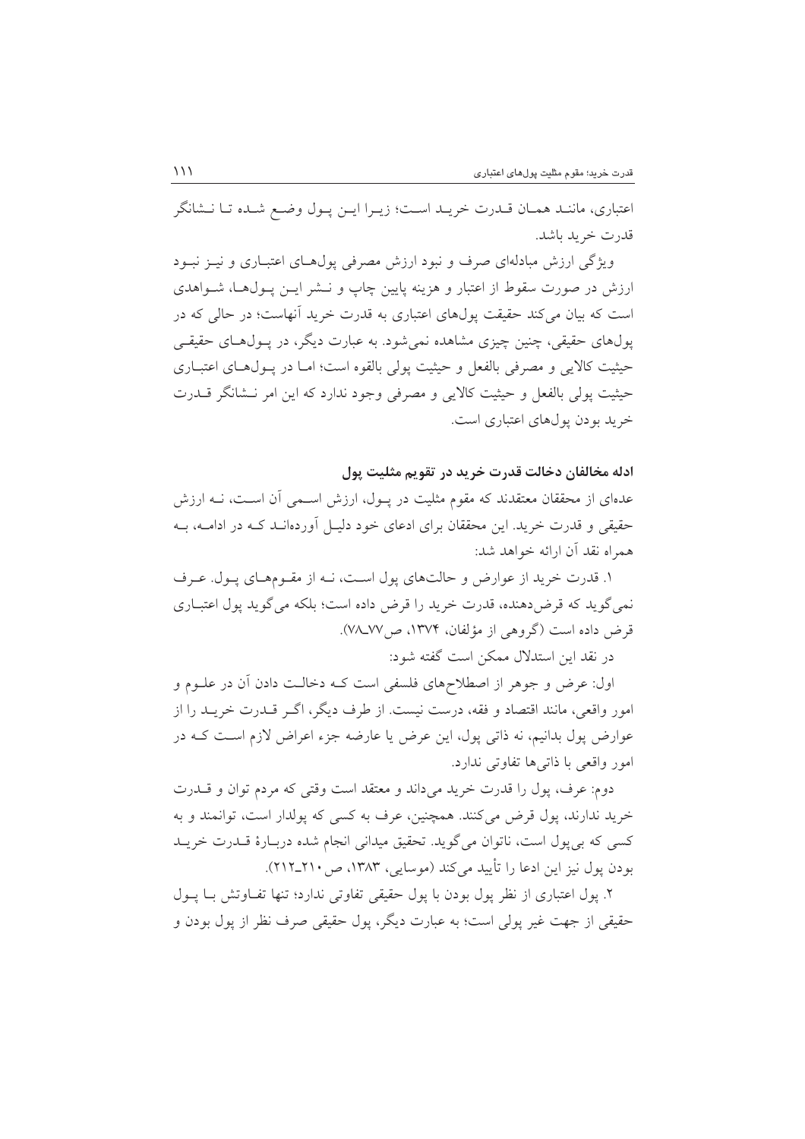اعتباري، ماننـد همـان قـدرت خريـد اسـت؛ زيـرا ايـن يـول وضـع شـده تـا نــشانگر قدرت خريد باشد.

ویژگی ارزش مبادلهای صرف و نبود ارزش مصرفی پول(حای اعتبــاری و نیــز نبــود ارزش در صورت سقوط از اعتبار و هزینه پایین چاپ و نــشر ایــن پــول۱هــا، شــواهدی است که بیان می کند حقیقت یول@ای اعتباری به قدرت خرید آنهاست؛ در حالی که در پولهای حقیقی، چنین چیزی مشاهده نمی شود. به عبارت دیگر، در پـولهـای حقیقـی حيثيت كالايي و مصرفي بالفعل و حيثيت يولي بالقوه است؛ امـا در يــول(حاي اعتبــاري حيثيت يولي بالفعل و حيثيت كالايي و مصرفي وجود ندارد كه اين امر نــشانگر قـــدرت خرید بودن یولهای اعتباری است.

ادله مخالفان دخالت قدرت خريد در تقويم مثليت يول

عدهای از محققان معتقدند که مقوم مثلیت در پـول، ارزش اسـمی آن اسـت، نــه ارزش حقیقی و قدرت خرید. این محققان برای ادعای خود دلیـل آوردهانــد کــه در ادامــه، بــه همراه نقد آن ارائه خواهد شد:

۱. قدرت خرید از عوارض و حالتهای پول است، نـه از مقـومهـای پـول. عـرف نمی گوید که قرض دهنده، قدرت خرید را قرض داده است؛ بلکه می گوید پول اعتبـاری قرض داده است (گروهی از مؤلفان، ۱۳۷۴، ص۷۸ـ۷۷).

در نقد این استدلال ممکن است گفته شود:

اول: عرض و جوهر از اصطلاحهای فلسفی است کـه دخالـت دادن آن در علــوم و امور واقعی، مانند اقتصاد و فقه، درست نیست. از طرف دیگر، اگـر قــدرت خریــد را از عوارض پول بدانیم، نه ذاتی پول، این عرض یا عارضه جزء اعراض لازم است کـه در امور واقعی با ذاتی ها تفاوتی ندارد.

دوم: عرف، پول را قدرت خرید میداند و معتقد است وقتی که مردم توان و قــدرت خرید ندارند، یول قرض میکنند. همچنین، عرف به کسی که پولدار است، توانمند و به کسی که بی پول است، ناتوان می گوید. تحقیق میدانی انجام شده دربـارهٔ قــدرت خریــد بو دن يول نيز اين ادعا را تأييد مي كند (موسايي، ١٣٨٣، ص ٢١٠\_٢١٢).

٢. يول اعتباري از نظر يول بودن با يول حقيقي تفاوتي ندارد؛ تنها تفــاوتش بــا يــول حقيقي از جهت غير يولي است؛ به عبارت ديگر، يول حقيقي صرف نظر از يول بودن و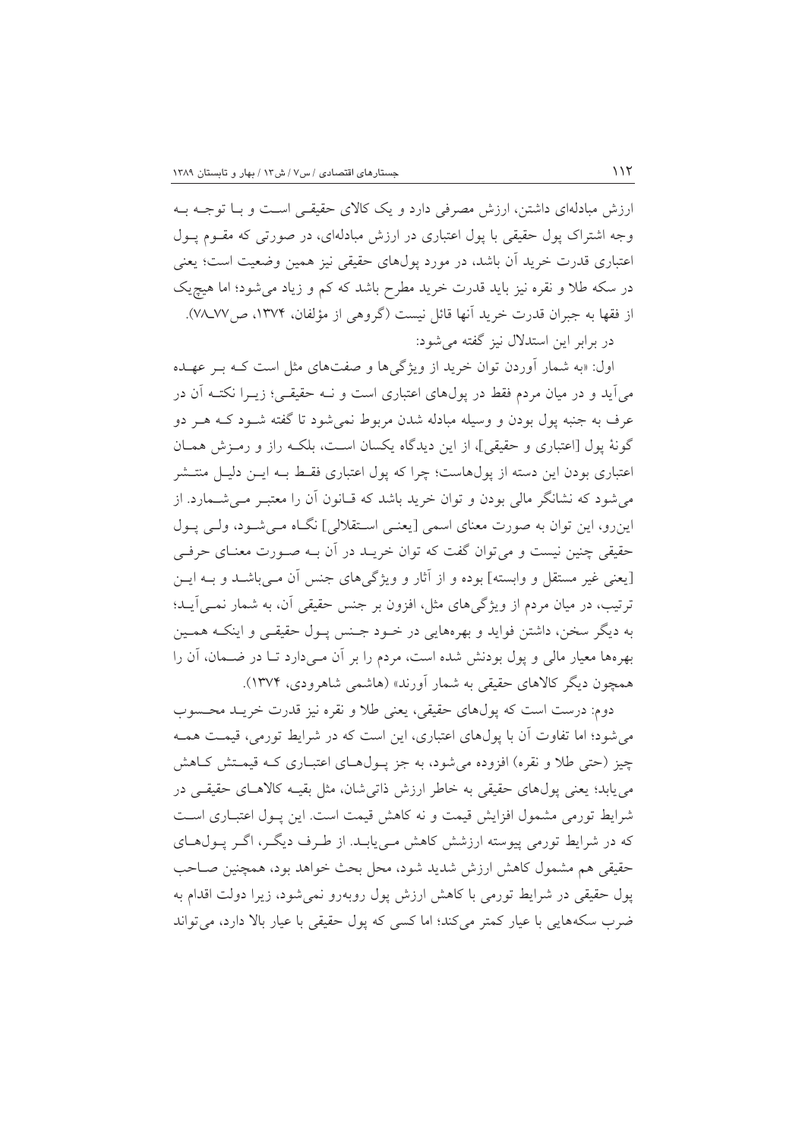ارزش مبادلهای داشتن، ارزش مصرفی دارد و یک کالای حقیقـی اسـت و بـا توجــه بــه وجه اشتراک یول حقیقی با یول اعتباری در ارزش مبادلهای، در صورتی که مقـوم یــول اعتباری قدرت خرید آن باشد، در مورد پولهای حقیقی نیز همین وضعیت است؛ یعنی در سکه طلا و نقره نیز باید قدرت خرید مطرح باشد که کم و زیاد می شود؛ اما هیچ یک از فقها به جبران قدرت خريد آنها قائل نيست (گروهي از مؤلفان، ١٣٧۴، ص٧٧-٧٨). در برابر این استدلال نیز گفته می شود:

اول: «به شمار آوردن توان خرید از ویژگیها و صفتهای مثل است کـه بـر عهـده می آید و در میان مردم فقط در پولهای اعتباری است و نـه حقیقـی؛ زیـرا نکتـه آن در عرف به جنبه یول بودن و وسیله مبادله شدن مربوط نمی شود تا گفته شـود کــه هــر دو گونهٔ یول [اعتباری و حقیقی]، از این دیدگاه یکسان است، بلکـه راز و رمـزش همـان اعتباری بودن این دسته از پولهاست؛ چرا که پول اعتباری فقـط بـه ایــن دلیــل منتــشر می شود که نشانگر مالی بودن و توان خرید باشد که قـانون اَن را معتبـر مــی شــمارد. از اینرو، این توان به صورت معنای اسمی [یعنبی استقلالی] نگــاه مــی شــود، ولــی پــول حقیقی چنین نیست و می توان گفت که توان خریــد در آن بــه صــورت معنــای حرفــی [یعنی غیر مستقل و وابسته] بوده و از آثار و ویژگیهای جنس آن مـیباشــد و بــه ایــن ترتیب، در میان مردم از ویژگیهای مثل، افزون بر جنس حقیقی آن، به شمار نمــی]یــد؛ به دیگر سخن، داشتن فواید و بهرههایی در خـود جـنس پـول حقیقـی و اینکـه همـین بهرهها معیار مالی و یول بودنش شده است، مردم را بر آن مــیدارد تــا در ضــمان، آن را همچون دیگر کالاهای حقیقی به شمار آورند» (هاشمی شاهرودی، ۱۳۷۴).

دوم: درست است كه يولهاي حقيقي، يعني طلا و نقره نيز قدرت خريـد محـسوب می شود؛ اما تفاوت آن با پولهای اعتباری، این است که در شرایط تورمی، قیمت همـه چیز (حتی طلا و نقره) افزوده می شود، به جز پـولهـای اعتبـاری کـه قیمـتش کـاهش می یابد؛ یعنی پول،های حقیقی به خاطر ارزش ذاتی شان، مثل بقیــه کالاهــای حقیقــی در شرايط تورمي مشمول افزايش قيمت و نه كاهش قيمت است. اين يـول اعتبـاري اسـت که در شرایط تورمی پیوسته ارزشش کاهش مـییابـد. از طـرف دیگـر، اگـر پـولهـای حقیقی هم مشمول کاهش ارزش شدید شود، محل بحث خواهد بود، همچنین صـاحب یول حقیقی در شرایط تورمی با کاهش ارزش پول روبهرو نمی شود، زیرا دولت اقدام به ضرب سکههایی با عیار کمتر می کند؛ اما کسی که یول حقیقی با عیار بالا دارد، می تواند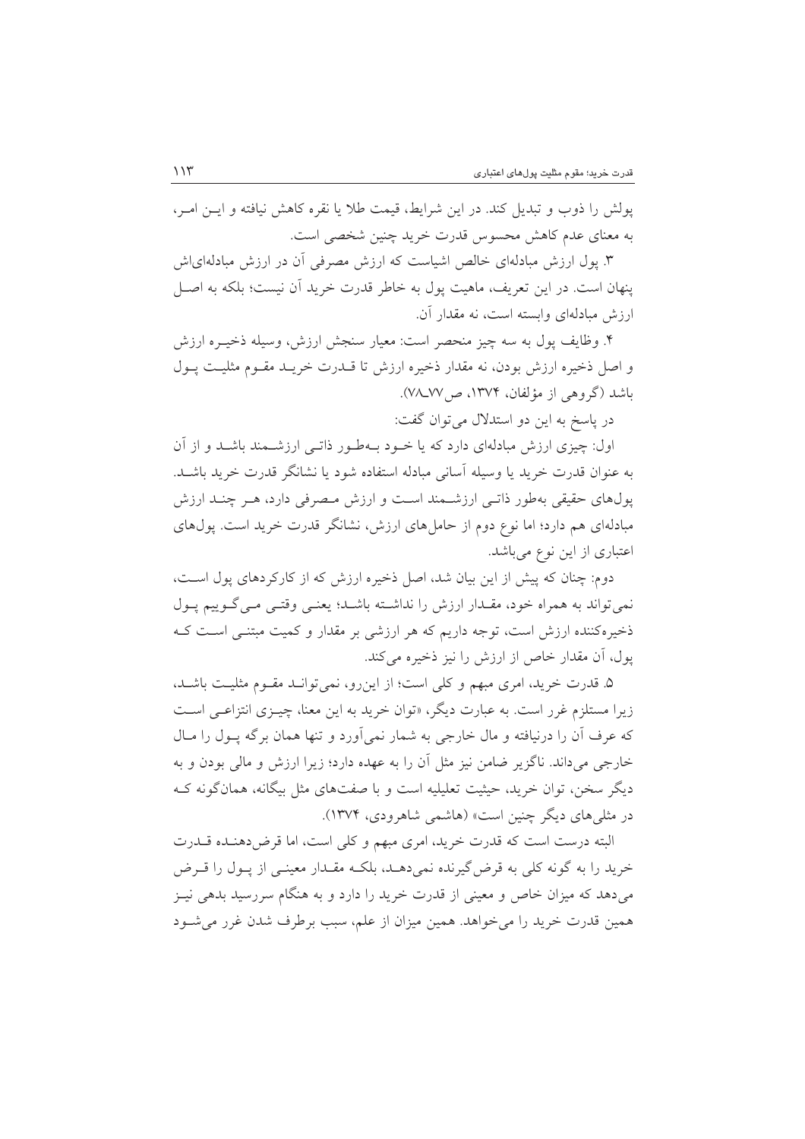يولش را ذوب و تبديل كند. در اين شرايط، قيمت طلا يا نقره كاهش نيافته و ايــن امــر، به معنای عدم کاهش محسوس قدرت خرید چنین شخصی است.

۳. پول ارزش مبادلهای خالص اشیاست که ارزش مصرفی آن در ارزش مبادلهای ش ينهان است. در اين تعريف، ماهيت يول به خاطر قدرت خريد آن نيست؛ بلكه به اصــل ارزش مبادلهای وابسته است، نه مقدار آن.

۴. وظايف پول به سه چيز منحصر است: معيار سنجش ارزش، وسيله ذخيـره ارزش و اصل ذخیره ارزش بودن، نه مقدار ذخیره ارزش تا قـدرت خریـد مقـوم مثلیـت پـول باشد (گروهی از مؤلفان، ۱۳۷۴، ص۷۸ـ۷۷).

در پاسخ به این دو استدلال می توان گفت:

اول: چیزی ارزش مبادلهای دارد که یا خـود بـهطـور ذاتـبی ارزشــمند باشــد و از آن به عنوان قدرت خريد يا وسيله آساني مبادله استفاده شود يا نشانگر قدرت خريد باشــد. یولهای حقیقی بهطور ذاتـی ارزشـمند اسـت و ارزش مـصرفی دارد، هـر چنـد ارزش مبادلهای هم دارد؛ اما نوع دوم از حامل های ارزش، نشانگر قدرت خرید است. یول۱های اعتباری از این نوع میباشد.

دوم: چنان که پیش از این بیان شد، اصل ذخیره ارزش که از کارکردهای پول است، نمی تواند به همراه خود، مقـدار ارزش را نداشـته باشـد؛ یعنـی وقتـی مـی گـوییم پـول ذخیرهکننده ارزش است، توجه داریم که هر ارزشی بر مقدار و کمیت مبتنـی اسـت کـه یول، آن مقدار خاص از ارزش را نیز ذخیره می کند.

۵. قدرت خرید، امری مبهم و کلی است؛ از این رو، نمی توانـد مقـوم مثلیـت باشـد، زیرا مستلزم غرر است. به عبارت دیگر، «توان خرید به این معنا، چیـزی انتزاعـی اسـت که عرف آن را درنیافته و مال خارجی به شمار نمیآورد و تنها همان برگه پـول را مـال خارجی میداند. ناگزیر ضامن نیز مثل آن را به عهده دارد؛ زیرا ارزش و مالی بودن و به دیگر سخن، توان خرید، حیثیت تعلیلیه است و با صفتهای مثل بیگانه، همانگونه ک در مثلم های دیگر چنین است» (هاشمی شاهرودی، ۱۳۷۴).

البته درست است كه قدرت خريد، امرى مبهم وكلي است، اما قرض دهنـده قــدرت خرید را به گونه کلی به قرض گیرنده نمیدهـد، بلکـه مقـدار معینـی از پـول را قـرض میدهد که میزان خاص و معینی از قدرت خرید را دارد و به هنگام سررسید بدهی نیـز همین قدرت خرید را می خواهد. همین میزان از علم، سبب برطرف شدن غرر می شـود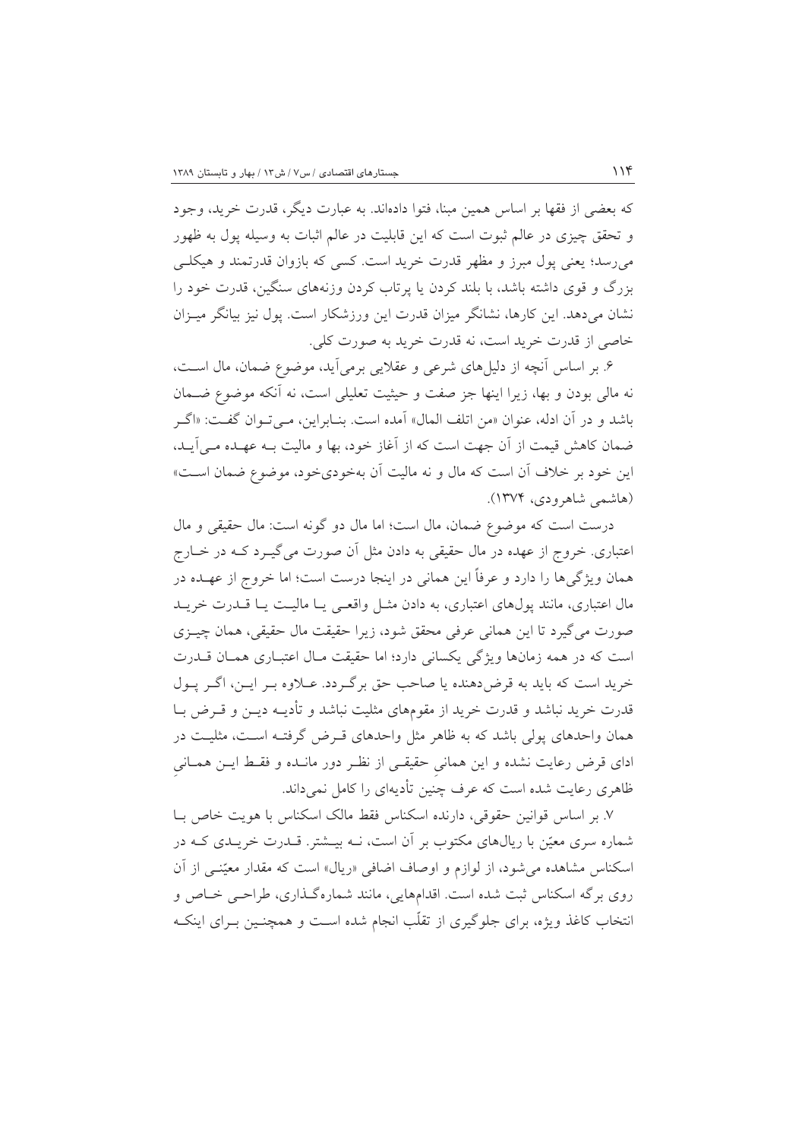كه بعضي از فقها بر اساس همين مبنا، فتوا دادهاند. به عبارت ديگر، قدرت خريد، وجود و تحقق چیزی در عالم ثبوت است که این قابلیت در عالم اثبات به وسیله یول به ظهور میرسد؛ یعنی پول مبرز و مظهر قدرت خرید است. کسی که بازوان قدرتمند و هیکلے بزرگ و قوی داشته باشد، با بلند کردن یا پرتاب کردن وزنههای سنگین، قدرت خود را نشان میدهد. این کارها، نشانگر میزان قدرت این ورزشکار است. یول نیز بیانگر میـزان خاصي از قدرت خريد است، نه قدرت خريد به صورت كلي.

۶. بر اساس آنچه از دلیلهای شرعی و عقلایی برمیآید، موضوع ضمان، مال است، نه مالي بودن و بها، زيرا اينها جز صفت و حيثيت تعليلي است، نه آنكه موضوع ضـمان باشد و در آن ادله، عنوان «من اتلف المال» آمده است. بنـابراين، مـى تـوان گفـت: «اگـر ضمان كاهش قيمت از آن جهت است كه از آغاز خود، بها و ماليت بـه عهـده مـي آيـد، این خود بر خلاف آن است که مال و نه مالیت آن بهخودیخود، موضوع ضمان اسـت» (هاشمې شاهرودي، ۱۳۷۴).

درست است كه موضوع ضمان، مال است؛ اما مال دو گونه است: مال حقیقی و مال اعتباری. خروج از عهده در مال حقیقی به دادن مثل آن صورت می گیــرد کــه در خــارج همان ویژگیها را دارد و عرفاً این همانی در اینجا درست است؛ اما خروج از عهـده در مال اعتباری، مانند یول،های اعتباری، به دادن مثـل واقعـی یـا مالیـت یـا قــدرت خریــد صورت مي گيرد تا اين هماني عرفي محقق شود، زيرا حقيقت مال حقيقي، همان چيــزي است که در همه زمانها ویژگی یکسانی دارد؛ اما حقیقت مـال اعتبـاری همـان قــدرت خريد است كه بايد به قرض دهنده يا صاحب حق برگردد. عـلاوه بـر ايـن، اگـر يـول قدرت خرید نباشد و قدرت خرید از مقومهای مثلیت نباشد و تأدیــه دیــز و قــرض بــا همان واحدهای پولی باشد که به ظاهر مثل واحدهای قـرض گرفتـه اسـت، مثلیـت در ادای قرض رعایت نشده و این همانی حقیقـی از نظـر دور مانـده و فقـط ایـن همـانی ظاهری رعایت شده است که عرف چنین تأدیهای را کامل نمیداند.

٧. بر اساس قوانین حقوقی، دارنده اسکناس فقط مالک اسکناس با هویت خاص بـا شماره سری معیّن با ریالهای مکتوب بر آن است، نــه بیــشتر. قــدرت خریــدی کــه در اسکناس مشاهده می شود، از لوازم و اوصاف اضافی «ریال» است که مقدار معیّنبی از آن روی برگه اسکناس ثبت شده است. اقدامهایی، مانند شمارهگذاری، طراحبی خـاص و انتخاب کاغذ ویژه، برای جلوگیری از تقلّب انجام شده اسـت و همچنـین بـرای اینکـه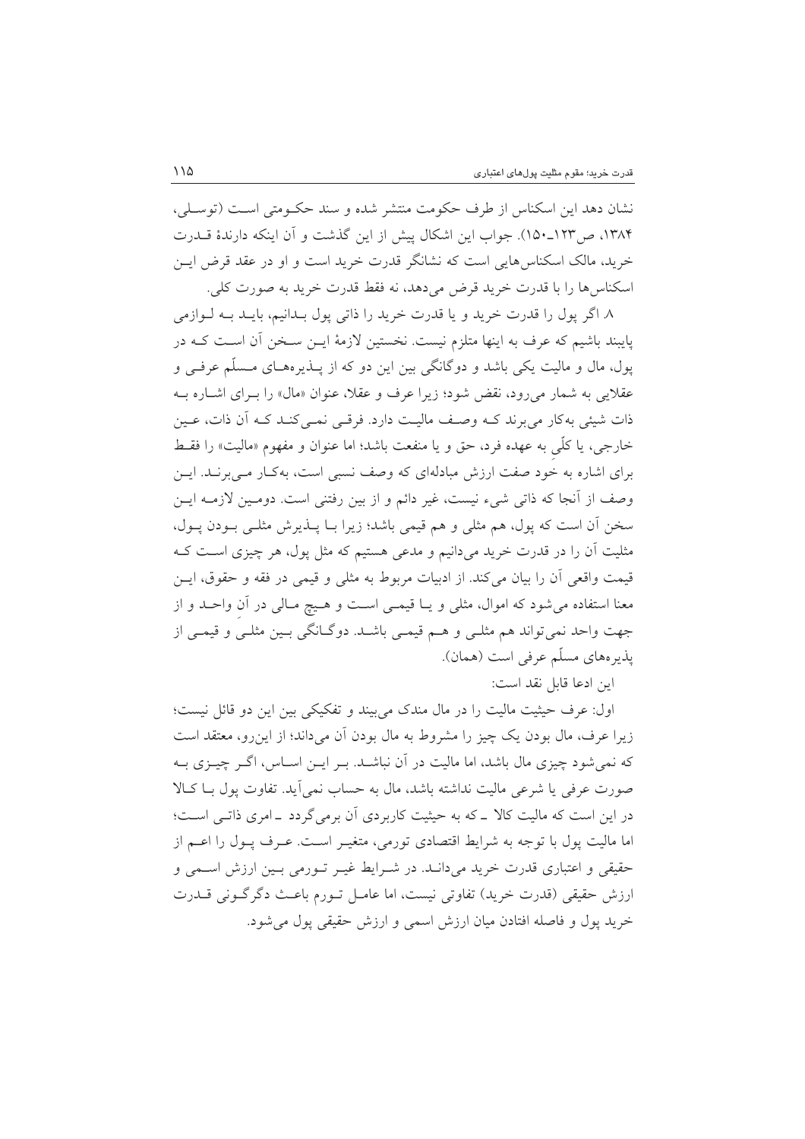نشان دهد اين اسكناس از طرف حكومت منتشر شده و سند حكـومتى اسـت (توسـلى، ۱۳۸۴، ص۱۲۳\_۱۵۰). جواب این اشکال پیش از این گذشت و آن اینکه دارندهٔ قــدرت خرید، مالک اسکناس هایی است که نشانگر قدرت خرید است و او در عقد قرض ایــن اسكناس ها را با قدرت خريد قرض مي دهد، نه فقط قدرت خريد به صورت كلي.

٨. اگر يول را قدرت خريد و يا قدرت خريد را ذاتي يول بـدانيم، بايـد بـه لـوازمي پایبند باشیم که عرف به اینها متلزم نیست. نخستین لازمهٔ ایــن سـخن آن اسـت کــه در یول، مال و مالیت یکی باشد و دوگانگی بین این دو که از پــذیرههــای مــسلّم عرفــی و عقلایی به شمار میرود، نقض شود؛ زیرا عرف و عقلا، عنوان «مال» را بـرای اشـاره بــه ذات شیئی به کار می برند کـه وصـف مالیـت دارد. فرقـی نمـی کنـد کـه آن ذات، عـین خارجي، يا كلَّبي به عهده فرد، حق و يا منفعت باشد؛ اما عنوان و مفهوم «ماليت» را فقبط برای اشاره به خود صفت ارزش مبادلهای که وصف نسبی است، بهکـار مـیبرنـد. ایــن وصف از آنجا که ذاتی شیء نیست، غیر دائم و از بین رفتنی است. دومـین لازمـه ایـن سخن أن است كه پول، هم مثلي و هم قيمي باشد؛ زيرا بـا پــذيرش مثلــي بــودن پــول، مثلیت آن را در قدرت خرید میدانیم و مدعی هستیم که مثل پول، هر چیزی است کـه قیمت واقعی آن را بیان میکند. از ادبیات مربوط به مثلی و قیمی در فقه و حقوق، ایــن معنا استفاده می شود که اموال، مثلی و یــا قیمــی اســت و هــیچ مــالی در آن واحــد و از جهت واحد نمي تواند هم مثلـي و هــم قيمـي باشــد. دوگــانگي بـين مثلـي و قيمـي از يذيرههاي مسلَّم عرفي است (همان).

اين ادعا قابل نقد است:

اول: عرف حیثیت مالیت را در مال مندک می بیند و تفکیکی بین این دو قائل نیست؛ زیرا عرف، مال بودن یک چیز را مشروط به مال بودن اَن میداند؛ از این رو، معتقد است که نمی شود چیزی مال باشد، اما مالیت در آن نباشـد. بـر ایــن اســاس، اگــر چیــزی بــه صورت عرفي يا شرعي ماليت نداشته باشد، مال به حساب نمي آيد. تفاوت يول بـا كـالا در این است که مالیت کالا ـ که به حیثیت کاربردی آن برمی گردد ـ امری ذاتـی اسـت؛ اما مالیت پول با توجه به شرایط اقتصادی تورمی، متغیـر اسـت. عـرف پـول را اعـم از حقیقی و اعتباری قدرت خرید میدانـد. در شـرایط غیـر تـورمی بـین ارزش اسـمی و ارزش حقیقی (قدرت خرید) تفاوتی نیست، اما عامـل تــورم باعــث دگر گــونی قــدرت خريد يول و فاصله افتادن ميان ارزش اسمي و ارزش حقيقي يول مي شود.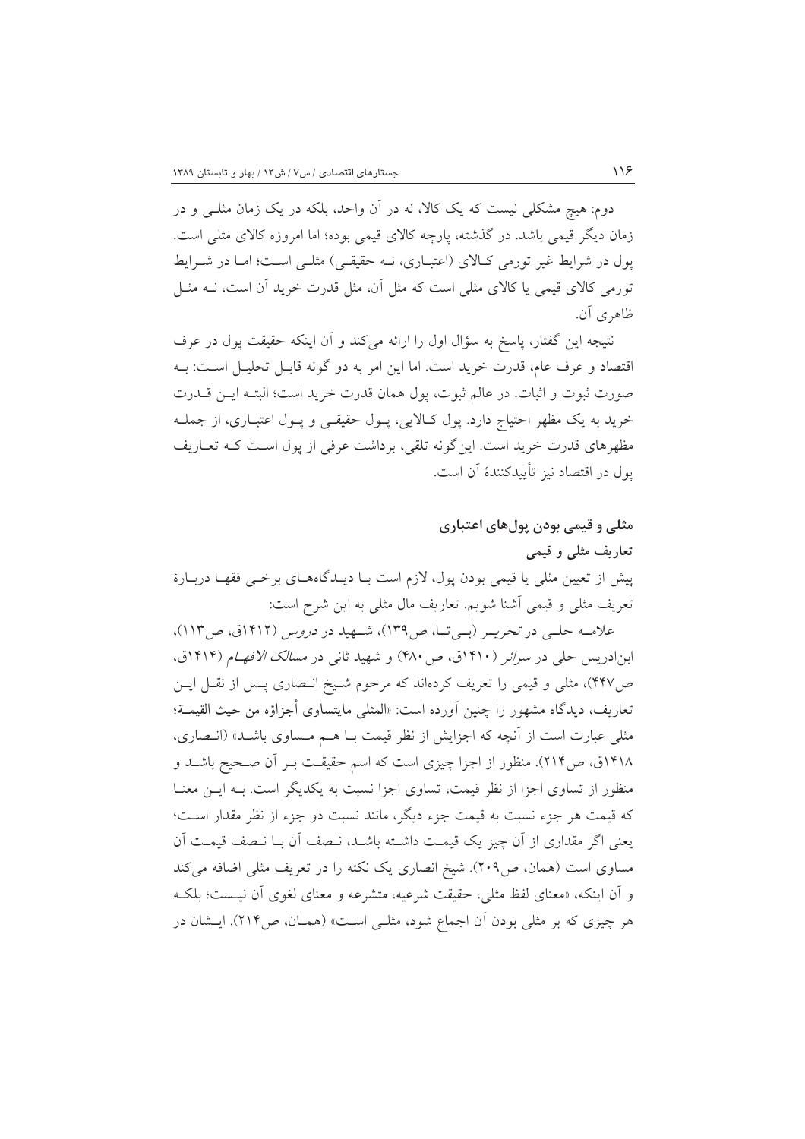دوم: هیچ مشکلی نیست که یک کالا، نه در اَن واحد، بلکه در یک زمان مثلـی و در زمان دیگر قیمی باشد. در گذشته، پارچه کالای قیمی بوده؛ اما امروزه کالای مثلی است. پول در شرایط غیر تورمی کـالای (اعتبـاری، نــه حقیقـی) مثلـی اسـت؛ امـا در شــرایط تورمی کالای قیمی یا کالای مثلی است که مثل آن، مثل قدرت خرید آن است، نــه مثــل ظاهري آن.

نتيجه اين گفتار، پاسخ به سؤال اول را ارائه ميکند و آن اينکه حقيقت پول در عرف اقتصاد و عرف عام، قدرت خريد است. اما اين امر به دو گونه قابـل تحليـل اسـت: بــه صورت ثبوت و اثبات. در عالم ثبوت، يول همان قدرت خريد است؛ البتـه ايــن قــدرت خرید به یک مظهر احتیاج دارد. یول کـالایی، پـول حقیقـی و پـول اعتبـاری، از جملـه مظهرهای قدرت خرید است. این گونه تلقی، برداشت عرفی از یول است کـه تعـاریف يول در اقتصاد نيز تأييدكنندهٔ آن است.

مثلی و قیمی بودن پول های اعتباری تعاریف مثلی و قیمی پیش از تعیین مثلی یا قیمی بودن پول، لازم است بـا دیـدگاههـای برخـبی فقهـا دربـارهٔ تعريف مثلي و قيمي أشنا شويم. تعاريف مال مثلي به اين شرح است:

علامـه حلـی در تحریـر (بـیتـا، ص١٣٩)، شـهید در *دروس* (١۴١٢ق، ص١١٣)، ابن ادریس حلی در *سرائر (*۱۴۱۰ق، ص ۴۸۰) و شهید ثانی در *مسالک الافهام* (۱۴۱۴ق، ص۴۴۷)، مثلی و قیمی را تعریف کردهاند که مرحوم شـیخ انـصاری پـس از نقـل ایـن تعاريف، ديدگاه مشهور را چنين اَورده است: «المثلي مايتساوي أجزاؤه من حيث القيمــة؛ مثلی عبارت است از آنچه که اجزایش از نظر قیمت بـا هــم مــساوی باشــد» (انــصاری، ۱۴۱۸ق، ص۲۱۴). منظور از اجزا چیزی است که اسم حقیقـت بـر آن صـحیح باشـد و منظور از تساوی اجزا از نظر قیمت، تساوی اجزا نسبت به یکدیگر است. بـه ایــن معنــا كه قيمت هر جزء نسبت به قيمت جزء ديگر، مانند نسبت دو جزء از نظر مقدار اسـت؛ يعني اگر مقداري از آن چيز يک قيمـت داشـته باشـد، نـصف آن بـا نـصف قيمـت آن مساوی است (همان، ص۲۰۹). شیخ انصاری یک نکته را در تعریف مثلی اضافه می کند و أن اينكه، «معناى لفظ مثلي، حقيقت شرعيه، متشرعه و معناى لغوى أن نيـست؛ بلكـه هر چیزی که بر مثلی بودن آن اجماع شود، مثلـی اسـت» (همـان، ص٢١۴). ایــشان در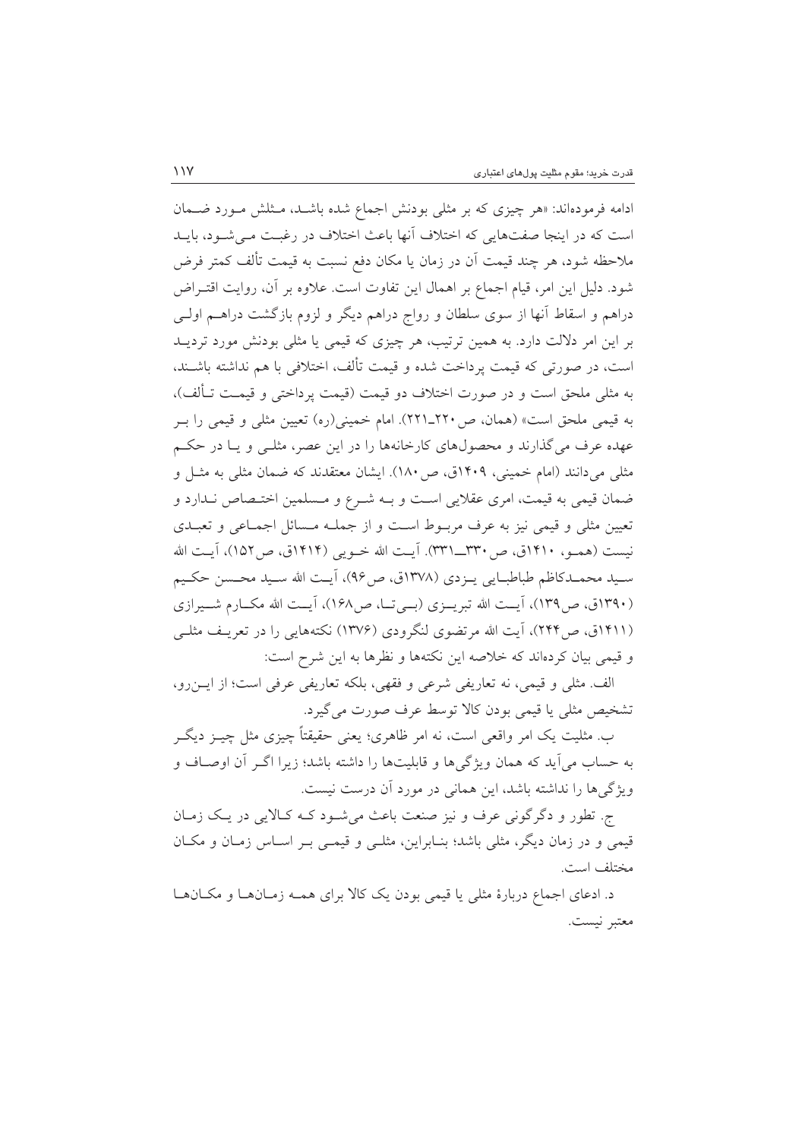ادامه فرمودهاند: «هر چیزی که بر مثلی بودنش اجماع شده باشـد، مـثلش مـورد ضـمان است که در اینجا صفتهایی که اختلاف آنها باعث اختلاف در رغبت می شود، بایـد ملاحظه شود، هر چند قیمت آن در زمان یا مکان دفع نسبت به قیمت تألف کمتر فرض شود. دلیل این امر، قیام اجماع بر اهمال این تفاوت است. علاوه بر آن، روایت اقتـراض دراهم و اسقاط آنها از سوی سلطان و رواج دراهم دیگر و لزوم بازگشت دراهــم اولــی بر این امر دلالت دارد. به همین ترتیب، هر چیزی که قیمی یا مثلی بودنش مورد تردیــد است، در صورتی که قیمت پرداخت شده و قیمت تألف، اختلافی با هم نداشته باشــند، به مثلي ملحق است و در صورت اختلاف دو قيمت (قيمت يرداختي و قيمـت تـألف)، به قیمی ملحق است» (همان، ص ۲۲۰\_۲۲۱). امام خمینی(ره) تعیین مثلی و قیمی را بـر عهده عرف میگذارند و محصولهای کارخانهها را در این عصر، مثلـی و یـا در حکـم مثلی می دانند (امام خمینی، ۱۴۰۹ق، ص ۱۸۰). ایشان معتقدند که ضمان مثلی به مثـل و ضمان قیمی به قیمت، امری عقلایی است و بـه شـرع و مـسلمین اختـصاص نـدارد و تعیین مثلی و قیمی نیز به عرف مربوط است و از جملـه مـسائل اجمـاعی و تعبـدی نيست (همــو، ١۴١٠ق، ص ٣٣٠\_٣٣١). آيــت الله خــويي (١۴١۴ق، ص١٥٢)، آيــت الله سـيد محمـدكاظم طباطبـايي يــزدي (١٣٧٨ق، ص٩۶)، أيـت الله سـيد محـسن حكـيم (۱۳۹۰ق، ص۱۳۹)، آیـت الله تبریــزی (بــی تــا، ص۱۶۸)، آیــت الله مکــارم شــيرازی (۱۴۱۱ق، ص۲۴۴)، آیت الله مرتضوی لنگرودی (۱۳۷۶) نکتههایی را در تعریـف مثلـی و قیمی بیان کردهاند که خلاصه این نکتهها و نظرها به این شرح است:

الف. مثلي و قيمي، نه تعاريفي شرعي و فقهي، بلكه تعاريفي عرفي است؛ از ايـنرو، تشخيص مثلي يا قيمي بودن كالا توسط عرف صورت مي گيرد.

ب. مثلیت یک امر واقعی است، نه امر ظاهری؛ یعنی حقیقتاً چیزی مثل چیـز دیگـر به حساب می آید که همان ویژگیها و قابلیتها را داشته باشد؛ زیرا اگـر آن اوصـاف و ویژگیها را نداشته باشد، این همانی در مورد آن درست نیست.

ج. تطور و دگر گونی عرف و نیز صنعت باعث می شـود کـه کـالایی در یـک زمـان قیمی و در زمان دیگر، مثلی باشد؛ بنـابراین، مثلـی و قیمـی بـر اسـاس زمـان و مکـان مختلف است.

د. ادعای اجماع دربارهٔ مثلی یا قیمی بودن یک کالا برای همـه زمـانهـا و مکـانهـا معتبر نيست.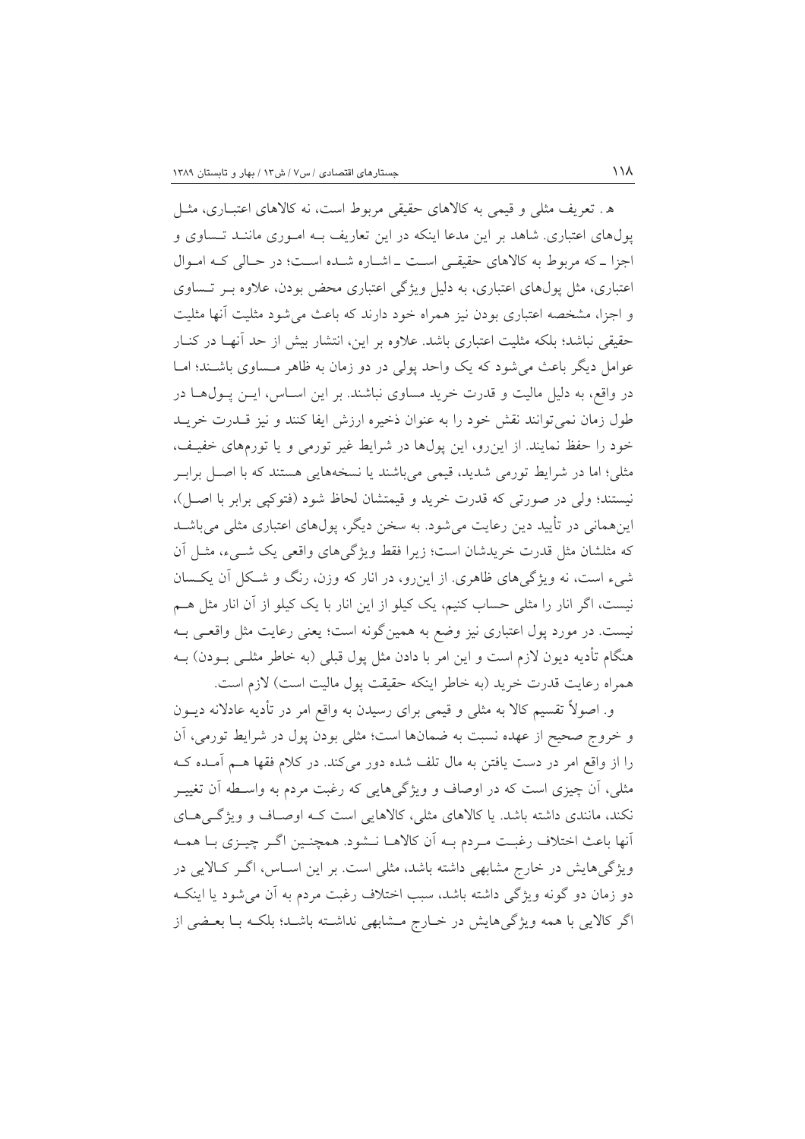ه . تعریف مثلی و قیمی به کالاهای حقیقی مربوط است، نه کالاهای اعتباری، مثـل پول های اعتباری. شاهد بر این مدعا اینکه در این تعاریف بـه امـوری ماننـد تـساوی و اجزا ـ كه مربوط به كالاهاى حقيقى است ـ اشـاره شـده اسـت؛ در حـالى كـه امـوال اعتباری، مثل یول،های اعتباری، به دلیل ویژگی اعتباری محض بودن، علاوه بــر تــساوی و اجزا، مشخصه اعتباری بودن نیز همراه خود دارند که باعث می شود مثلیت آنها مثلیت حقیقی نباشد؛ بلکه مثلیت اعتباری باشد. علاوه بر این، انتشار بیش از حد آنهـا در کنـار عوامل دیگر باعث می شود که یک واحد پولی در دو زمان به ظاهر مـساوی باشـند؛ امـا در واقع، به دلیل مالیت و قدرت خرید مساوی نباشند. بر این اسـاس، ایــن پــول۱هـا در طول زمان نمي توانند نقش خود را به عنوان ذخيره ارزش ايفا كنند و نيز قــدرت خريــد خود را حفظ نمایند. از این رو، این پولها در شرایط غیر تورمی و یا تورمهای خفیـف، مثلی؛ اما در شرایط تورمی شدید، قیمی میباشند یا نسخههایی هستند که با اصل برابر نيستند؛ ولي در صورتي كه قدرت خريد و قيمتشان لحاظ شود (فتوكيي برابر با اصل)، اینهمانی در تأیید دین رعایت می شود. به سخن دیگر، پولهای اعتباری مثلی می باشــد که مثلشان مثل قدرت خریدشان است؛ زیرا فقط ویژگیهای واقعی یک شــیء، مثــل اَن شیء است، نه ویژگیهای ظاهری. از این رو، در انار که وزن، رنگ و شکل آن یکسان نیست، اگر انار را مثلی حساب کنیم، یک کیلو از این انار با یک کیلو از آن انار مثل هــم نیست. در مورد پول اعتباری نیز وضع به همینگونه است؛ یعنی رعایت مثل واقعـی بــه هنگام تأدیه دیون لازم است و این امر با دادن مثل پول قبلی (به خاطر مثلــی بــودن) بــه همراه رعايت قدرت خريد (به خاطر اينكه حقيقت يول ماليت است) لازم است.

و. اصولاً تقسیم کالا به مثلی و قیمی برای رسیدن به واقع امر در تأدیه عادلانه دیــون و خروج صحیح از عهده نسبت به ضمانها است؛ مثلی بودن پول در شرایط تورمی، آن را از واقع امر در دست یافتن به مال تلف شده دور میکند. در کلام فقها هــم آمــده کــه مثلی، اَن چیزی است که در اوصاف و ویژگیهایی که رغبت مردم به واسطه اَن تغییــر نکند، مانندی داشته باشد. یا کالاهای مثلی، کالاهایی است کـه اوصـاف و ویژگـیهـای أنها باعث اختلاف رغبت مـردم بـه أن كالاهـا نـشود. همچنـين اگـر چيـزي بـا همـه ویژگی هایش در خارج مشابهی داشته باشد، مثلی است. بر این اسـاس، اگــر کــالایی در دو زمان دو گونه ويژگي داشته باشد، سبب اختلاف رغبت مردم به آن مي شود يا اينکـه اگر کالایی با همه ویژگیهایش در خـارج مـشابهی نداشـته باشـد؛ بلکـه بـا بعـضی از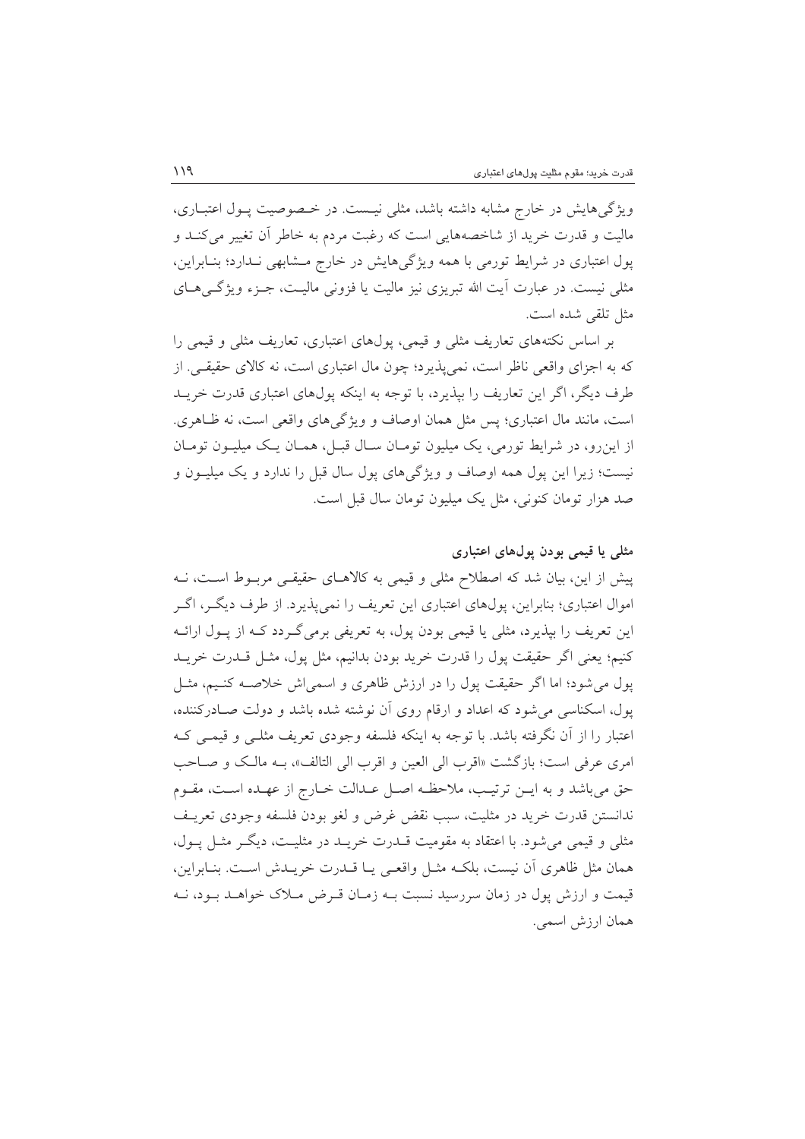ویژگی هایش در خارج مشابه داشته باشد، مثلی نیست. در خـصوصیت پـول اعتبـاری، مالیت و قدرت خرید از شاخصههایی است که رغبت مردم به خاطر آن تغییر می کنـد و پول اعتباری در شرایط تورمی با همه ویژگیهایش در خارج مشابهی نـدارد؛ بنـابراین، مثلی نیست. در عبارت اَیت الله تبریزی نیز مالیت یا فزونی مالیــت، جـزء ویژگــیهــای مثل تلقى شده است.

بر اساس نکتههای تعاریف مثلی و قیمی، پولهای اعتباری، تعاریف مثلی و قیمی را که به اجزای واقعی ناظر است، نمی پذیرد؛ چون مال اعتباری است، نه کالای حقیقی. از طرف دیگر، اگر این تعاریف را بیذیرد، با توجه به اینکه پول@ای اعتباری قدرت خریـد است، مانند مال اعتباري؛ يس مثل همان اوصاف و ويژگي هاي واقعي است، نه ظـاهري. از این رو، در شرایط تورمی، یک میلیون تومـان سـال قبـل، همـان یـک میلیــون تومـان نیست؛ زیرا این پول همه اوصاف و ویژگیهای پول سال قبل را ندارد و یک میلیـون و صد هزار تومان کنونی، مثل یک میلیون تومان سال قبل است.

#### مثلی یا قیمی بودن پولهای اعتباری

پیش از این، بیان شد که اصطلاح مثلی و قیمی به کالاهـای حقیقـی مربـوط اسـت، نــه اموال اعتباري؛ بنابراين، پولهاي اعتباري اين تعريف را نمي پذيرد. از طرف ديگـر، اگـر این تعریف را بپذیرد، مثلی یا قیمی بودن پول، به تعریفی برمیگـردد کــه از پــول ارائــه كنيم؛ يعني اگر حقيقت يول را قدرت خريد بودن بدانيم، مثل يول، مثـل قــدرت خريــد پول می شود؛ اما اگر حقیقت پول را در ارزش ظاهری و اسمی اش خلاصـه کنـیم، مثـل یول، اسکناسی می شود که اعداد و ارقام روی آن نوشته شده باشد و دولت صـادرکننده، اعتبار را از أن نگرفته باشد. با توجه به اینکه فلسفه وجودی تعریف مثلـی و قیمـی کـه امري عرفي است؛ بازگشت «اقرب الي العين و اقرب الي التالف»، بـه مالک و صـاحب حق می باشد و به ایـن ترتیـب، ملاحظـه اصـل عـدالت خـارج از عهـده اسـت، مقـوم ندانستن قدرت خريد در مثليت، سبب نقض غرض و لغو بودن فلسفه وجودي تعريـف مثلي و قيمي مي شود. با اعتقاد به مقوميت قـــدرت خريـــد در مثليــت، ديگــر مثــل يــول، همان مثل ظاهري أن نيست، بلكـه مثـل واقعـي يـا قــدرت خريــدش اســت. بنــابراين، قیمت و ارزش یول در زمان سررسید نسبت بـه زمـان قـرض مـلاک خواهـد بـود، نـه همان ارزش اسمى.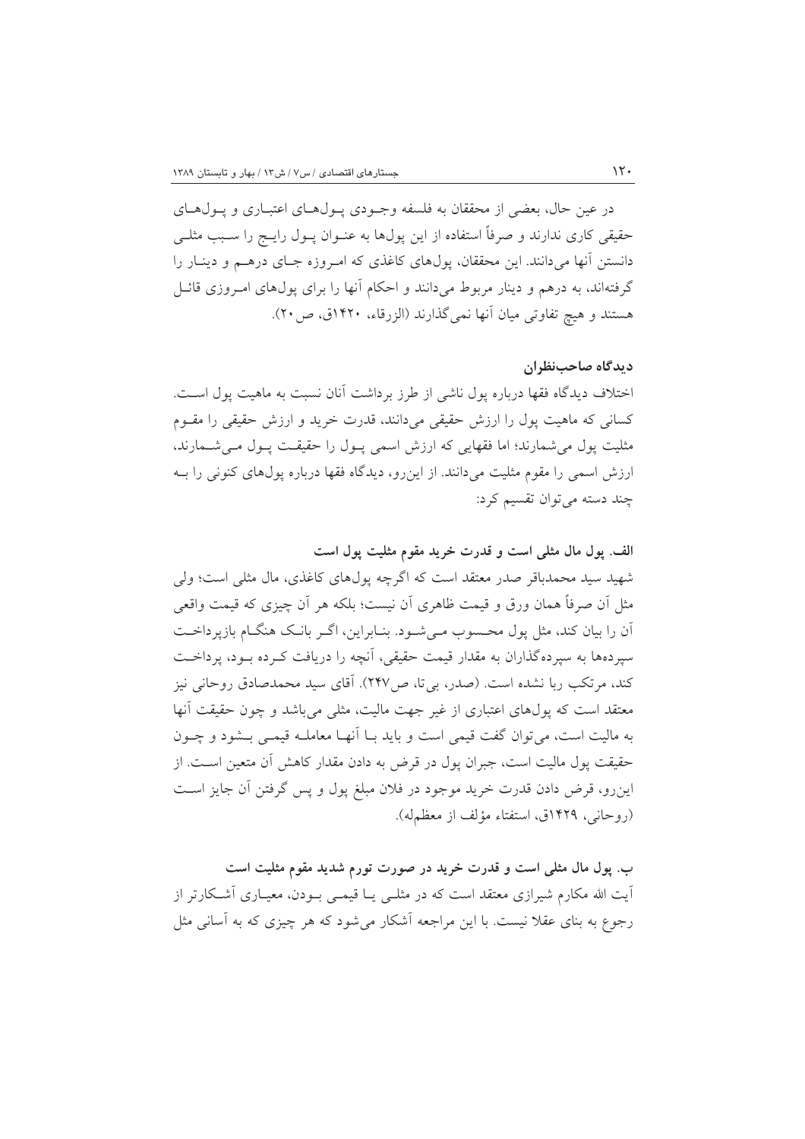در عين حال، بعضي از محققان به فلسفه وجـودي پـولهـاي اعتبـاري و پـولهـاي حقیقی کاری ندارند و صرفاً استفاده از این پولها به عنــوان پــول رایــج را ســبب مثلــی دانستن آنها میدانند. این محققان، پولهای کاغذی که امروزه جبای درهم و دینبار را گرفتهاند، به درهم و دینار مربوط میدانند و احکام آنها را برای پولهای امـروزی قائـل هستند و هیچ تفاوتی میان آنها نمی گذارند (الزرقاء، ۱۴۲۰ق، ص۲۰).

#### دیدگاه صاحبنظران

اختلاف دیدگاه فقها درباره بول ناشی از طرز برداشت آنان نسبت به ماهیت بول اسـت. کسانی که ماهیت پول را ارزش حقیقی میدانند، قدرت خرید و ارزش حقیقی را مقــوم مثلیت پول می شمارند؛ اما فقهایی که ارزش اسمی پول را حقیقت پـول مـی شـمارند، ارزش اسمی را مقوم مثلیت میدانند. از این رو، دیدگاه فقها درباره پولهای کنونی را بـه چند دسته می توان تقسیم کرد:

الف. پول مال مثلي است و قدرت خريد مقوم مثليت پول است شهید سید محمدباقر صدر معتقد است که اگرچه پولهای کاغذی، مال مثلی است؛ ولی مثل أن صرفاً همان ورق و قيمت ظاهري أن نيست؛ بلكه هر أن چيزي كه قيمت واقعي آن را بیان کند، مثل پول محسوب مے شـود. بنـابراین، اگـر بانـک هنگـام بازیرداخـت سیردهها به سیردهگذاران به مقدار قیمت حقیقی، آنچه را دریافت کـرده بـود، پرداخـت كند، مرتكب ربا نشده است. (صدر، بي تا، ص١٣٧). آقاي سيد محمدصادق روحاني نيز معتقد است که پولهای اعتباری از غیر جهت مالیت، مثلی می باشد و چون حقیقت آنها به مالیت است، می توان گفت قیمی است و باید بـا اَنهـا معاملـه قیمـی بـشود و چـون حقیقت پول مالیت است، جبران پول در قرض به دادن مقدار کاهش آن متعین اسـت. از این٫و، قرض دادن قدرت خرید موجود در فلان مبلغ پول و پس گرفتن اَن جایز است (روحاني، ١۴٢٩ق، استفتاء مؤلف از معظمله).

ب. پول مال مثلی است و قدرت خرید در صورت تورم شدید مقوم مثلیت است آیت الله مکارم شیرازی معتقد است که در مثلـی یــا قیمــی بــودن، معیــاری آشــکارتر از رجوع به بنای عقلاً نیست. با این مراجعه آشکار می شود که هر چیزی که به آسانی مثل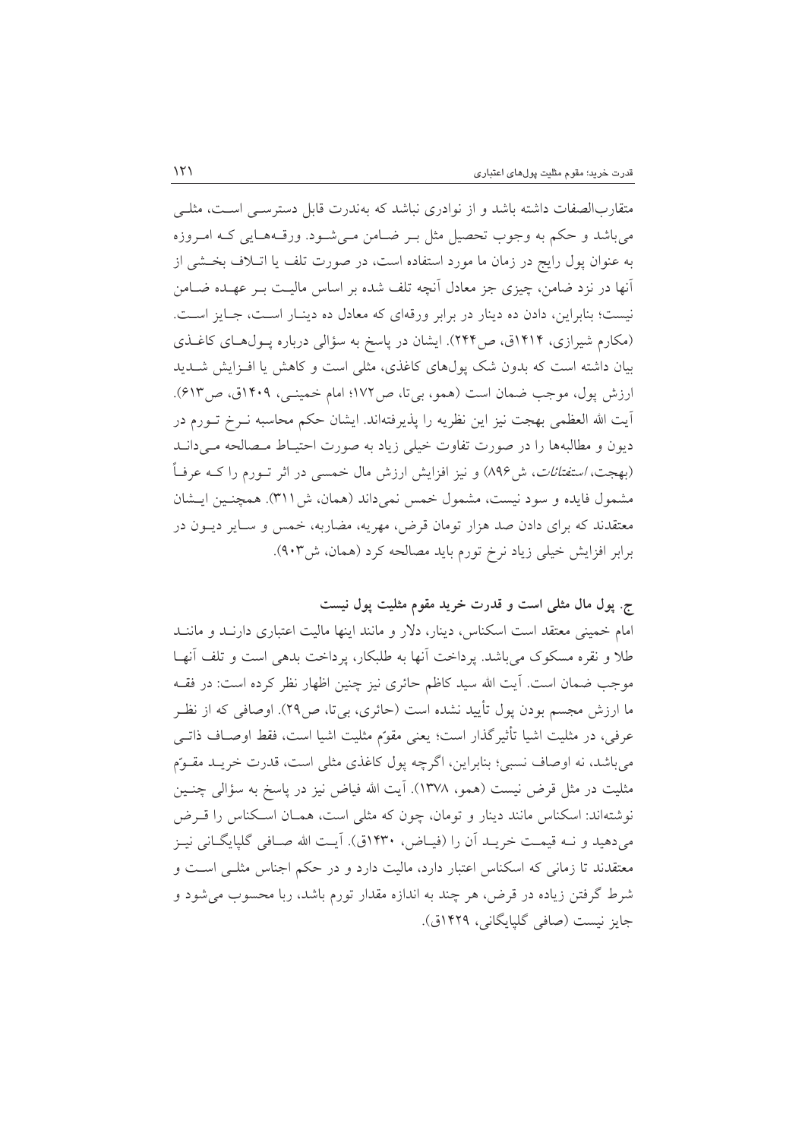متقاربالصفات داشته باشد و از نوادری نباشد که بهندرت قابل دسترسبی است، مثلبی مي باشد و حكم به وجوب تحصيل مثل بـر ضـامن مـي شـود. ورقـههـايي كـه امـروزه به عنوان پول رایج در زمان ما مورد استفاده است، در صورت تلف یا اتـلاف بخــشی از آنها در نزد ضامن، چیزی جز معادل آنچه تلف شده بر اساس مالیت بـر عهـده ضــامن نیست؛ بنابراین، دادن ده دینار در برابر ورقهای که معادل ده دینـار اسـت، جـایز اسـت. (مکارم شیرازی، ۱۴۱۴ق، ص۲۴۴). ایشان در پاسخ به سؤالی درباره پـول(های کاغـذی بیان داشته است که بدون شک پولهای کاغذی، مثلی است و کاهش یا افـزایش شــدید ارزش یول، موجب ضمان است (همو، بی تا، ص١٧٢؛ امام خمینی، ١۴٠٩ق، ص٤١٣). آيت الله العظمى بهجت نيز اين نظريه را يذيرفتهاند. ايشان حكم محاسبه نــرخ تــورم در دیون و مطالبهها را در صورت تفاوت خیلی زیاد به صورت احتیـاط مـصالحه مـیدانـد (بهجت، *استفتائات*، ش۹۶) و نیز افزایش ارزش مال خمسی در اثر تــورم را کــه عرفــاً مشمول فایده و سود نیست، مشمول خمس نمی داند (همان، ش ۳۱۱). همچنین ایـشان معتقدند که برای دادن صد هزار تومان قرض، مهریه، مضاربه، خمس و سـایر دیــون در برابر افزایش خیلی زیاد نرخ تورم باید مصالحه کرد (همان، ش۹۰۳).

ج. پول مال مثلی است و قدرت خرید مقوم مثلیت پول نیست

امام خمینی معتقد است اسکناس، دینار، دلار و مانند اینها مالیت اعتباری دارنــد و ماننــد طلا و نقره مسکوک می باشد. پرداخت آنها به طلبکار، پرداخت بدهی است و تلف آنهـا موجب ضمان است. آیت الله سید کاظم حائری نیز چنین اظهار نظر کرده است: در فقــه ما ارزش مجسم بودن پول تأييد نشده است (حائري، بيتا، ص٢٩). اوصافي كه از نظـر عرفي، در مثليت اشيا تأثيرگذار است؛ يعني مقوّم مثليت اشيا است، فقط اوصـاف ذاتـي مي باشد، نه اوصاف نسبي؛ بنابراين، اگرچه يول كاغذي مثلي است، قدرت خريـد مقـوَّم مثلیت در مثل قرض نیست (همو، ۱۳۷۸). آیت الله فیاض نیز در پاسخ به سؤالی چنـین نوشتهاند: اسکناس مانند دینار و تومان، چون که مثلی است، همـان اسـکناس را قـرض می دهید و نــه قیمـت خریــد أن را (فیــاض، ۱۴۳۰ق). أیــت الله صــافی گلیایگــانی نیــز معتقدند تا زمانی که اسکناس اعتبار دارد، مالیت دارد و در حکم اجناس مثلـی اسـت و شرط گرفتن زیاده در قرض، هر چند به اندازه مقدار تورم باشد، ربا محسوب می شود و جايز نيست (صافي گليايگاني، ١۴۲۹ق).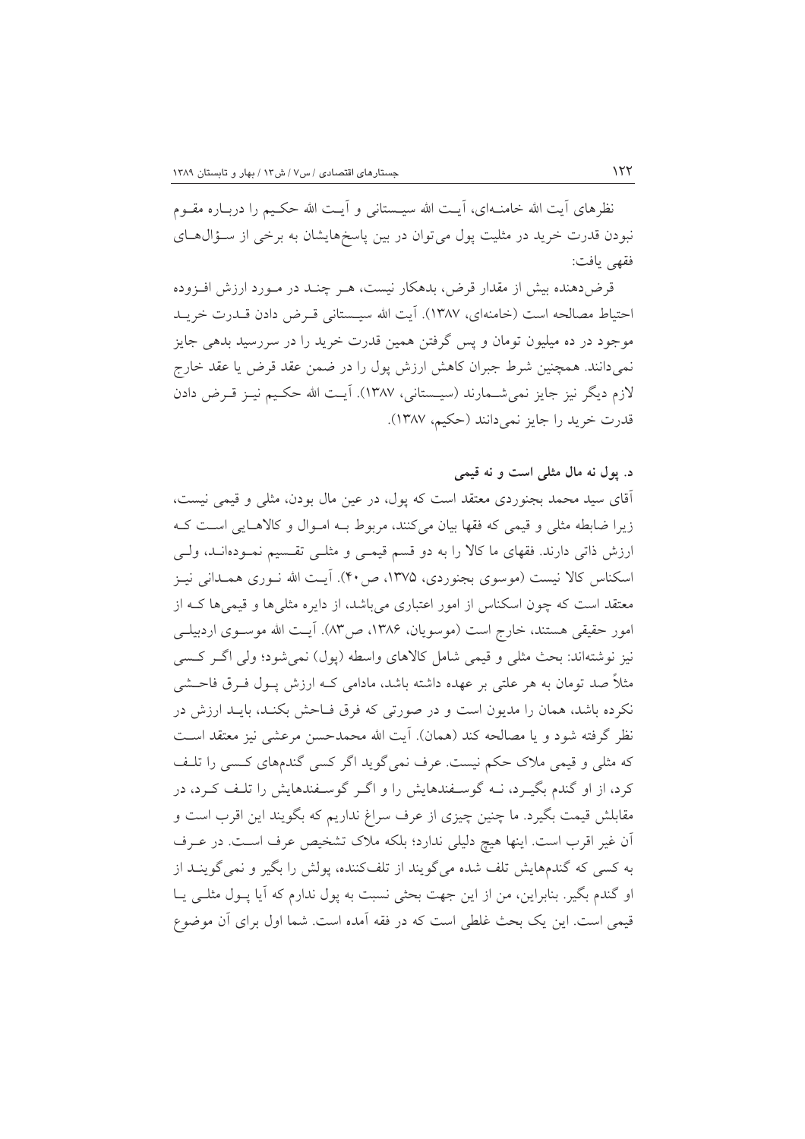نظرهای آیت الله خامنـهای، آیـت الله سیــستانی و آیـت الله حکـیم را دربـاره مقــوم نبودن قدرت خرید در مثلیت پول می توان در بین پاسخهایشان به برخی از سـؤالهـای فقهي بافت:

قرض دهنده بیش از مقدار قرض، بدهکار نیست، هـر چنـد در مـورد ارزش افـزوده احتياط مصالحه است (خامنهاي، ١٣٨٧). آيت الله سيـستاني قـرض دادن قـدرت خريـد موجود در ده میلیون تومان و پس گرفتن همین قدرت خرید را در سررسید بدهی جایز نمی،دانند. همچنین شرط جبران کاهش ارزش پول را در ضمن عقد قرض یا عقد خارج لازم دیگر نیز جایز نمی شــمارند (سیــستانی، ۱۳۸۷). آیــت الله حکــیم نیــز قــرض دادن قدرت خريد را جايز نمي دانند (حكيم، ١٣٨٧).

# د. يول نه مال مثلي است و نه قيمي آقای سید محمد بجنوردی معتقد است که پول، در عین مال بودن، مثلی و قیمی نیست، زیرا ضابطه مثلی و قیمی که فقها بیان میکنند، مربوط بـه امـوال و کالاهـایی اسـت کـه ارزش ذاتی دارند. فقهای ما کالا را به دو قسم قیمـی و مثلـی تقـسیم نمـودهانـد، ولـی اسکناس کالا نیست (موسوی بجنوردی، ۱۳۷۵، ص۴۰). آیت الله نــوری همــدانی نیــز معتقد است که چون اسکناس از امور اعتباری میباشد، از دایره مثلیها و قیمیها کـه از امور حقيقي هستند، خارج است (موسويان، ١٣٨۶، ص٨٣). آيـت الله موســوى اردبيلــي نيز نوشتهاند: بحث مثلي و قيمي شامل كالاهاي واسطه (يول) نمي شود؛ ولي اگـر كـسي مثلاً صد تومان به هر علتی بر عهده داشته باشد، مادامی کــه ارزش پــول فــرق فاحــشی نکرده باشد، همان را مدیون است و در صورتی که فرق فـاحش بکنـد، بایـد ارزش در نظر گرفته شود و یا مصالحه کند (همان). آیت الله محمدحسن مرعشی نیز معتقد اسـت که مثلی و قیمی ملاک حکم نیست. عرف نمی گوید اگر کسی گندمهای کسبی را تلـف کرد، از او گندم بگیـرد، نــه گوســفندهایش را و اگــر گوســفندهایش را تلـف کــرد، در مقابلش قیمت بگیرد. ما چنین چیزی از عرف سراغ نداریم که بگویند این اقرب است و آن غیر اقرب است. اینها هیچ دلیلی ندارد؛ بلکه ملاک تشخیص عرف است. در عـرف به کسی که گندمهایش تلف شده میگویند از تلفکننده، پولش را بگیر و نمی گوینـد از او گندم بگیر . بنابراین، من از این جهت بحثی نسبت به یول ندارم که آیا پــول مثلــی پــا قیمی است. این یک بحث غلطی است که در فقه آمده است. شما اول برای آن موضوع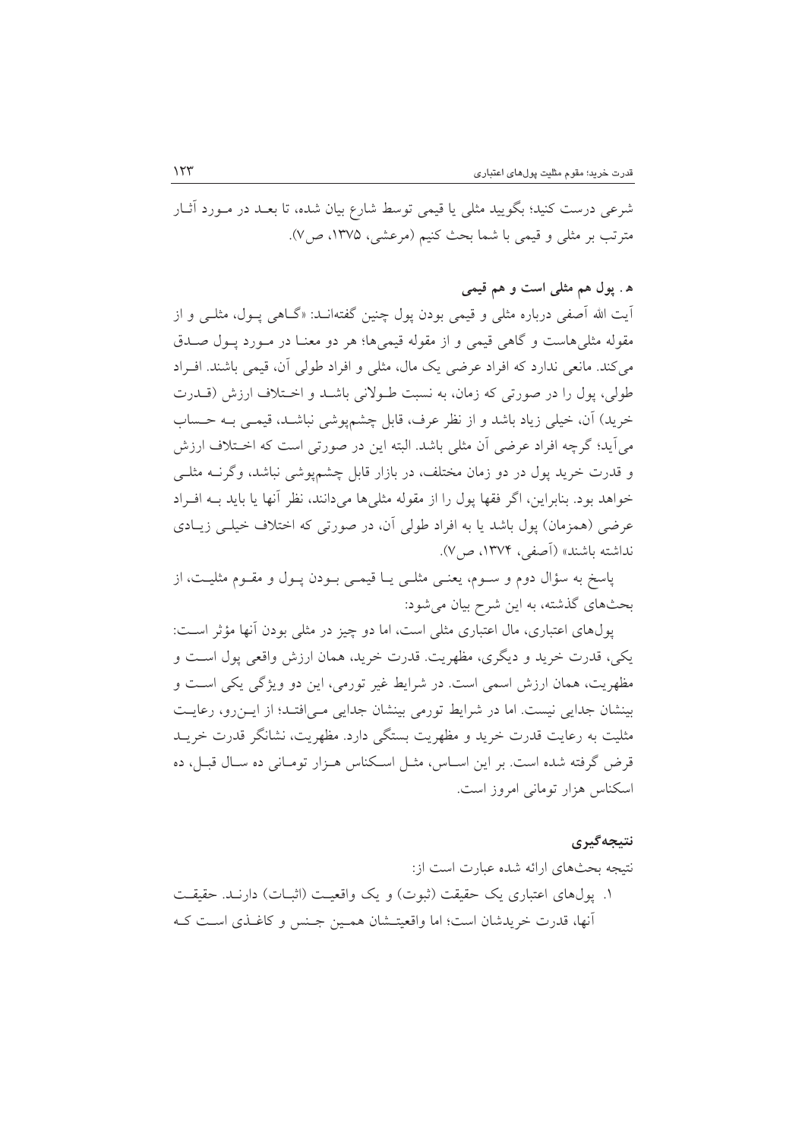شرعی درست کنید؛ بگویید مثلی یا قیمی توسط شارع بیان شده، تا بعـد در مـورد آثــار مترتب بر مثلي و قيمي با شما بحث كنيم (مرعشي، ١٣٧۵، ص٧).

### ه . پول هم مثلی است و هم قیمی

اّیت الله اَصفی درباره مثلی و قیمی بودن یول چنین گفتهانــد: «گــاهی پــول، مثلــی و از مقوله مثلیهاست و گاهی قیمی و از مقوله قیمیها؛ هر دو معنـا در مـورد پـول صـدق می کند. مانعی ندارد که افراد عرضی یک مال، مثلی و افراد طولی آن، قیمی باشند. افـراد طولي، يول را در صورتي كه زمان، به نسبت طـولاني باشـد و اخـتلاف ارزش (قــدرت خريد) آن، خيلي زياد باشد و از نظر عرف، قابل چشمپوشي نباشـد، قيمـي بـه حـساب مي آيد؛ گرچه افراد عرضي آن مثلي باشد. البته اين در صورتي است كه اخـتلاف ارزش و قدرت خرید یول در دو زمان مختلف، در بازار قابل چشمپوشی نباشد، وگرنــه مثلــی خواهد بود. بنابراین، اگر فقها یول را از مقوله مثلی ها می دانند، نظر آنها یا باید بــه افــراد عرضی (همزمان) یول باشد یا به افراد طولی آن، در صورتی که اختلاف خیلبی زیبادی نداشته باشند» (آصفی، ۱۳۷۴، ص/۷).

پاسخ به سؤال دوم و سـوم، يعنـي مثلـي يـا قيمـي بـودن پـول و مقـوم مثليـت، از بحثهای گذشته، به این شرح بیان میشود:

یول های اعتباری، مال اعتباری مثلی است، اما دو چیز در مثلی بودن آنها مؤثر است: يکي، قدرت خريد و ديگري، مظهريت. قدرت خريد، همان ارزش واقعي يول است و مظهريت، همان ارزش اسمي است. در شرايط غير تورمي، اين دو ويژگي يكي است و بینشان جدایی نیست. اما در شرایط تورمی بینشان جدایی مے افتـد؛ از ایـن رو، رعایـت مثلیت به رعایت قدرت خرید و مظهریت بستگی دارد. مظهریت، نشانگر قدرت خریــد قرض گرفته شده است. بر این اسـاس، مثـل اسـکناس هـزار تومـانی ده سـال قبـل، ده اسکناس هزار تومانی امروز است.

#### نتىجەگىرى

نتبجه بحثهای ارائه شده عبارت است از: ١. يول@اي اعتباري يک حقيقت (ثبوت) و يک واقعيـت (اثبــات) دارنــد. حقيقــت آنها، قدرت خریدشان است؛ اما واقعیتــشان همــین جــنس و کاغــذی اســت کــه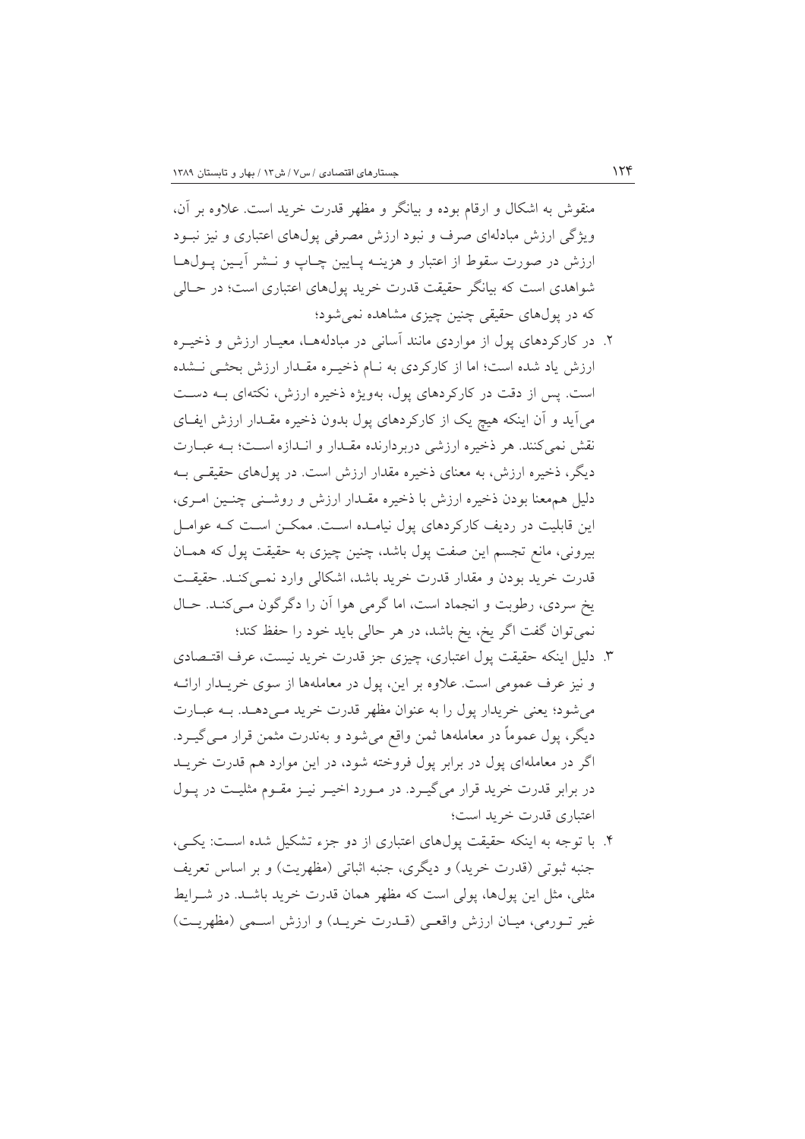منقوش به اشکال و ارقام بوده و بیانگر و مظهر قدرت خرید است. علاوه بر آن، ویژگی ارزش مبادلهای صرف و نبود ارزش مصرفی پولهای اعتباری و نیز نبـود ارزش در صورت سقوط از اعتبار و هزینـه پـایین چـاپ و نــشر آیــین پــول۱هــا شواهدی است که بیانگر حقیقت قدرت خرید پولهای اعتباری است؛ در حـالی که در بولهای حقیقی چنین چیزی مشاهده نمی شود؛

- ۲. در کارکردهای پول از مواردی مانند آسانی در مبادلههـا، معیـار ارزش و ذخیـره ارزش یاد شده است؛ اما از کارکردی به نـام ذخیـره مقـدار ارزش بحثـی نـشده است. پس از دقت در کارکردهای پول، بهویژه ذخیره ارزش، نکتهای بـه دسـت می آید و آن اینکه هیچ یک از کارکردهای پول بدون ذخیره مقـدار ارزش ایفـای نقش نمی کنند. هر ذخیره ارزشی دربردارنده مقـدار و انـدازه اسـت؛ بـه عبـارت دیگر، ذخیره ارزش، به معنای ذخیره مقدار ارزش است. در پولهای حقیقـی بــه دلیل همهعنا بودن ذخیره ارزش با ذخیره مقــدار ارزش و روشــنی چنــین امــری، این قابلیت در ردیف کارکردهای پول نیامـده اسـت. ممکــن اسـت کــه عوامــل بیرونی، مانع تجسم این صفت پول باشد، چنین چیزی به حقیقت پول که همـان قدرت خريد بودن و مقدار قدرت خريد باشد، اشكالي وارد نمـي كنـد. حقيقـت يخ سردي، رطوبت و انجماد است، اما گرمي هوا آن را دگر گون مـي كنـد. حـال نمیتوان گفت اگر یخ، یخ باشد، در هر حالی باید خود را حفظ کند؛
- ۳. دلیل اینکه حقیقت پول اعتباری، چیزی جز قدرت خرید نیست، عرف اقتـصادی و نیز عرف عمومی است. علاوه بر این، یول در معاملهها از سوی خریـدار ارائــه می شود؛ یعنی خریدار پول را به عنوان مظهر قدرت خرید مـی دهـد. بـه عبـارت دیگر، پول عموماً در معاملهها ثمن واقع میشود و بهندرت مثمن قرار مـی گیــرد. اگر در معاملهای یول در برابر یول فروخته شود، در این موارد هم قدرت خریـد در برابر قدرت خرید قرار میگیـرد. در مـورد اخیــر نیــز مقــوم مثلیــت در پــول اعتباري قدرت خريد است؛
- ۴. با توجه به اینکه حقیقت پولهای اعتباری از دو جزء تشکیل شده است: یکبی، جنبه ثبوتي (قدرت خريد) و ديگري، جنبه اثباتي (مظهريت) و بر اساس تعريف مثلی، مثل این پولها، پولی است که مظهر همان قدرت خرید باشـد. در شـرایط غير تــورمي، ميــان ارزش واقعــي (قــدرت خريــد) و ارزش اســمي (مظهريــت)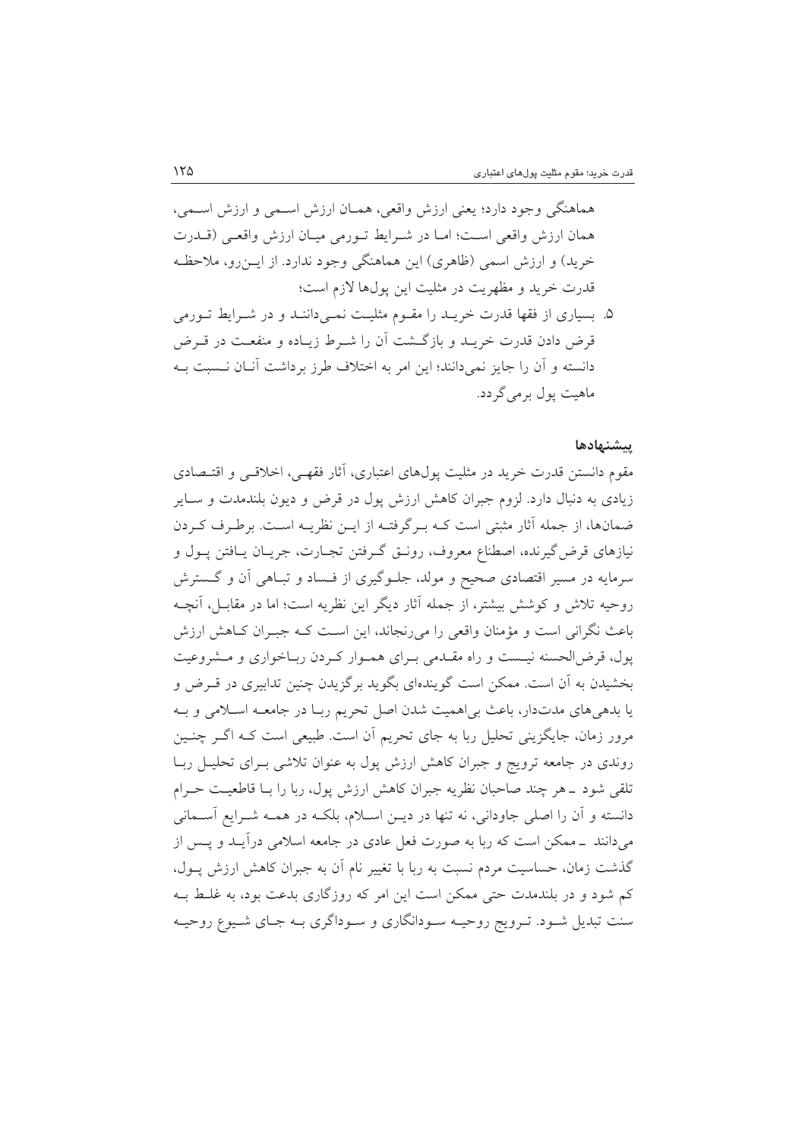هماهنگي وجود دارد؛ يعني ارزش واقعي، همـان ارزش اسـمي و ارزش اسـمي، همان ارزش واقعي است؛ امـا در شـرايط تـورمي ميـان ارزش واقعـي (قــدرت خرید) و ارزش اسمی (ظاهری) این هماهنگی وجود ندارد. از ایــن(و، ملاحظـه قدرت خريد و مظهريت در مثليت اين يول@ا لازم است؛

۵. بسیاری از فقها قدرت خریــد را مقــوم مثلیــت نمــیداننــد و در شــرایط تــورمی قرض دادن قدرت خریـد و بازگـشت آن را شـرط زیـاده و منفعـت در قـرض دانسته و آن را جایز نمی دانند؛ این امر به اختلاف طرز برداشت آنــان نــسبت بــه ماهيت يول برمي گردد.

#### يبشنهادها

مقوم دانستن قدرت خريد در مثليت يول،هاي اعتباري، أثار فقهـي، اخلاقـي و اقتـصادي زیادی به دنبال دارد. لزوم جبران کاهش ارزش پول در قرض و دیون بلندمدت و سـایر ضمانها، از جمله آثار مثبتی است کـه بـرگرفتـه از ایـن نظریـه اسـت. برطـرف کـردن نیازهای قرض گیرنده، اصطناع معروف، رونـق گـرفتن تجـارت، جریـان یـافتن پــول و سرمایه در مسیر اقتصادی صحیح و مولد، جلـوگیری از فـساد و تبـاهی آن و گـسترش روحیه تلاش و کوشش بیشتر، از جمله آثار دیگر این نظریه است؛ اما در مقابـل، آنچــه باعث نگرانی است و مؤمنان واقعی را میرنجاند، این است کـه جبـران کـاهش ارزش یول، قرض|لحسنه نیست و راه مقـدمی بـرای همـوار کـردن ربـاخواری و مـشروعیت بخشیدن به اَن است. ممکن است گویندهای بگوید برگزیدن چنین تدابیری در قـرض و يا بدهي هاي مدتدار، باعث بي اهميت شدن اصل تحريم ربـا در جامعــه اســلامي و بــه مرور زمان، جایگزینی تحلیل ربا به جای تحریم آن است. طبیعی است کـه اگــر چنــین روندی در جامعه ترویج و جبران کاهش ارزش پول به عنوان تلاشی بـرای تحلیـل ربـا تلقی شود ـ هر چند صاحبان نظریه جبران کاهش ارزش پول، ربا را بـا قاطعیـت حـرام دانسته و آن را اصلی جاودانی، نه تنها در دیـن اسـلام، بلکـه در همـه شـرایع آسـمانی میدانند \_ممکن است که ربا به صورت فعل عادی در جامعه اسلامی درآیـد و یـس از گذشت زمان، حساسیت مردم نسبت به ربا با تغییر نام آن به جبران کاهش ارزش پــول، کم شود و در بلندمدت حتی ممکن است این امر که روزگاری بدعت بود، به غلـط بـه سنت تبدیل شـود. تـرویج روحیـه سـودانگاري و سـوداگري بـه جـاي شـیوع روحیـه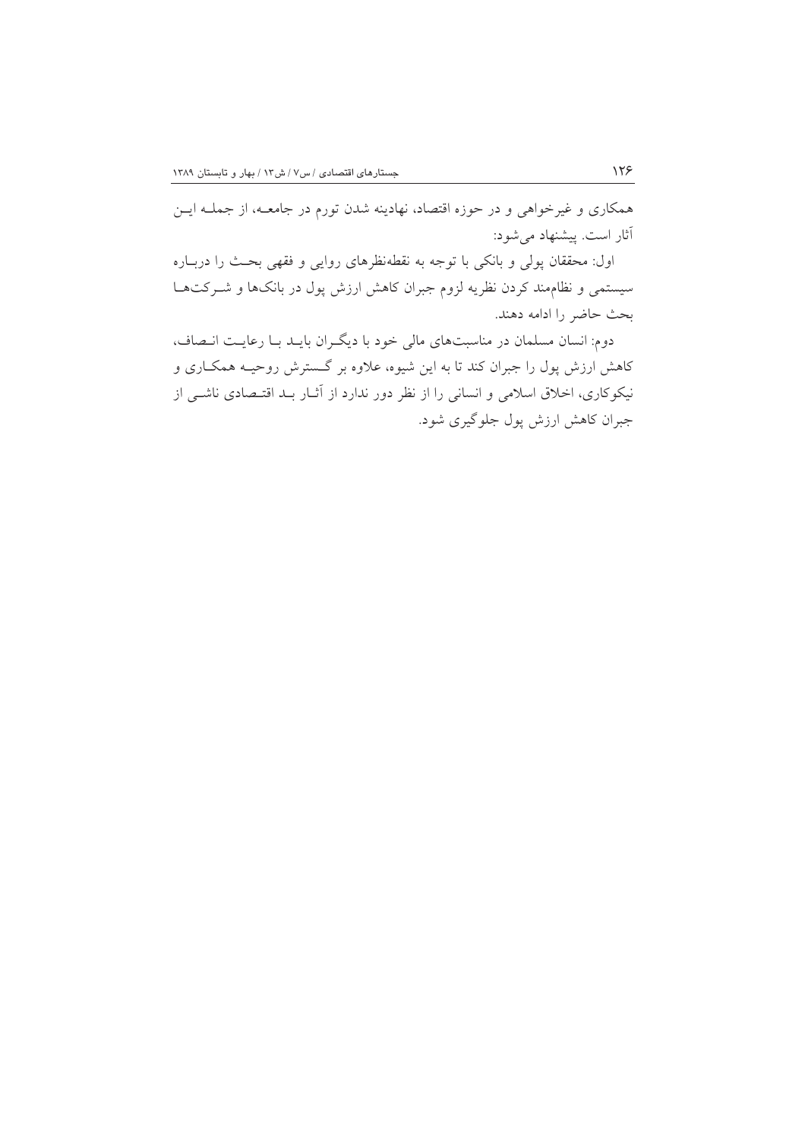همکاری و غیرخواهی و در حوزه اقتصاد، نهادینه شدن تورم در جامعـه، از جملـه ایــن آثار است. پیشنهاد می شود:

اول: محققان پولی و بانکی با توجه به نقطهنظرهای روایی و فقهی بحث را دربـاره سیستمی و نظاممند کردن نظریه لزوم جبران کاهش ارزش پول در بانکها و شـرکتهـا بحث حاضر را ادامه دهند.

دوم: انسان مسلمان در مناسبتهای مالی خود با دیگران بایــد بــا رعایــت انــصاف، کاهش ارزش پول را جبران کند تا به این شیوه، علاوه بر گـسترش روحیــه همکــاری و نیکوکاری، اخلاق اسلامی و انسانی را از نظر دور ندارد از آثــار بــد اقتــصادی ناشــی از جبران کاهش ارزش پول جلوگیری شود.